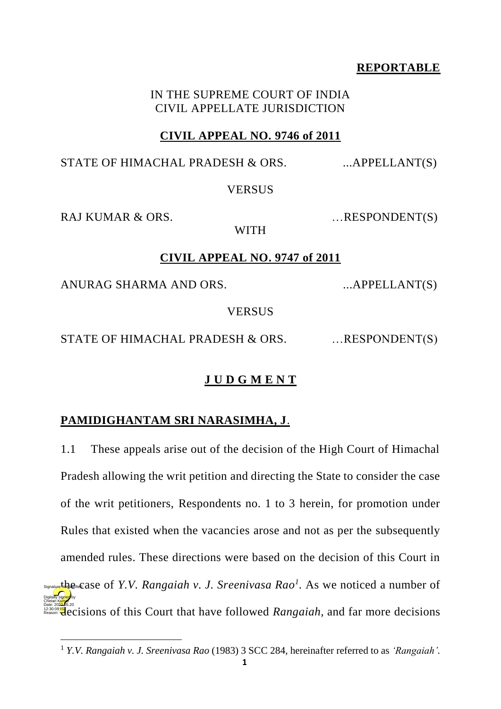## **REPORTABLE**

### IN THE SUPREME COURT OF INDIA CIVIL APPELLATE JURISDICTION

## **CIVIL APPEAL NO. 9746 of 2011**

STATE OF HIMACHAL PRADESH  $& ORS$ . ...APPELLANT(S)

## **VERSUS**

RAJ KUMAR & ORS. …RESPONDENT(S)

# **CIVIL APPEAL NO. 9747 of 2011**

WITH

ANURAG SHARMA AND ORS. ...APPELLANT(S)

**VERSUS** 

STATE OF HIMACHAL PRADESH & ORS. ... RESPONDENT(S)

# **J U D G M E N T**

# **PAMIDIGHANTAM SRI NARASIMHA, J**.

1.1 These appeals arise out of the decision of the High Court of Himachal Pradesh allowing the writ petition and directing the State to consider the case of the writ petitioners, Respondents no. 1 to 3 herein, for promotion under Rules that existed when the vacancies arose and not as per the subsequently amended rules. These directions were based on the decision of this Court in Signature the case of *Y.V. Rangaiah v. J. Sreenivasa Rao<sup>1</sup>*. As we noticed a number of Deles 2020**00 IS** 2020<br>Reason: **Hecisions** of this Court that have followed *Rangaiah*, and far more decisions Digitally signed by Chetan Kumar Reason:

<sup>1</sup> *Y.V. Rangaiah v. J. Sreenivasa Rao* (1983) 3 SCC 284, hereinafter referred to as *'Rangaiah'.*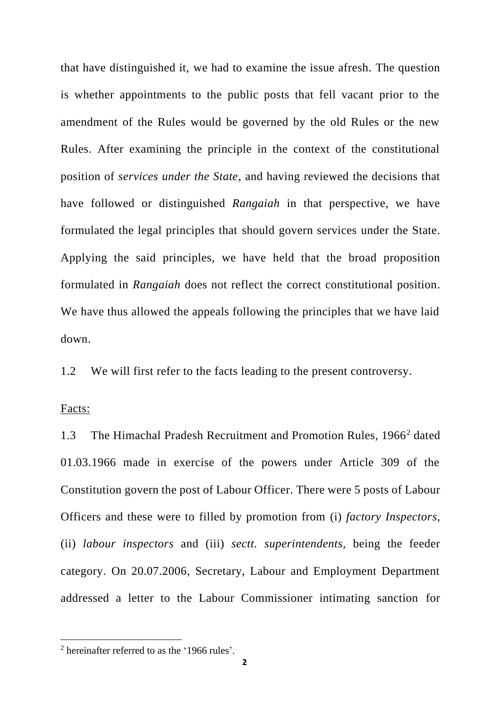that have distinguished it, we had to examine the issue afresh. The question is whether appointments to the public posts that fell vacant prior to the amendment of the Rules would be governed by the old Rules or the new Rules. After examining the principle in the context of the constitutional position of *services under the State*, and having reviewed the decisions that have followed or distinguished *Rangaiah* in that perspective, we have formulated the legal principles that should govern services under the State. Applying the said principles, we have held that the broad proposition formulated in *Rangaiah* does not reflect the correct constitutional position. We have thus allowed the appeals following the principles that we have laid down.

1.2 We will first refer to the facts leading to the present controversy.

#### Facts:

1.3 The Himachal Pradesh Recruitment and Promotion Rules, 1966<sup>2</sup> dated 01.03.1966 made in exercise of the powers under Article 309 of the Constitution govern the post of Labour Officer. There were 5 posts of Labour Officers and these were to filled by promotion from (i) *factory Inspectors*, (ii) *labour inspectors* and (iii) *sectt. superintendents*, being the feeder category. On 20.07.2006, Secretary, Labour and Employment Department addressed a letter to the Labour Commissioner intimating sanction for

<sup>2</sup> hereinafter referred to as the '1966 rules'.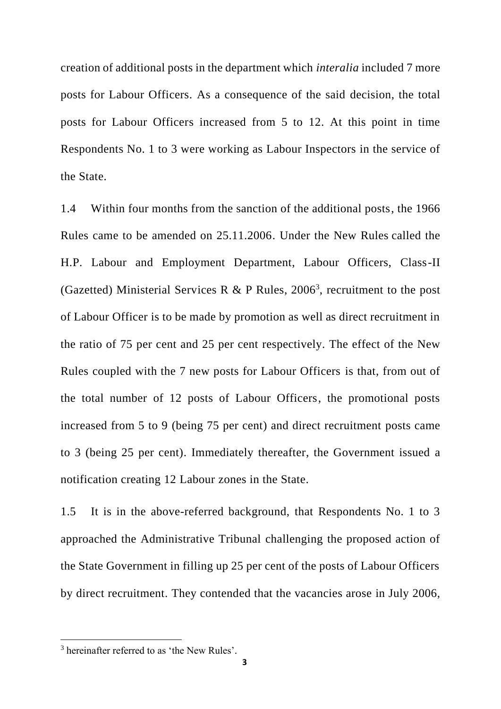creation of additional posts in the department which *interalia* included 7 more posts for Labour Officers. As a consequence of the said decision, the total posts for Labour Officers increased from 5 to 12. At this point in time Respondents No. 1 to 3 were working as Labour Inspectors in the service of the State.

1.4 Within four months from the sanction of the additional posts, the 1966 Rules came to be amended on 25.11.2006. Under the New Rules called the H.P. Labour and Employment Department, Labour Officers, Class-II (Gazetted) Ministerial Services R & P Rules,  $2006<sup>3</sup>$ , recruitment to the post of Labour Officer is to be made by promotion as well as direct recruitment in the ratio of 75 per cent and 25 per cent respectively. The effect of the New Rules coupled with the 7 new posts for Labour Officers is that, from out of the total number of 12 posts of Labour Officers, the promotional posts increased from 5 to 9 (being 75 per cent) and direct recruitment posts came to 3 (being 25 per cent). Immediately thereafter, the Government issued a notification creating 12 Labour zones in the State.

1.5 It is in the above-referred background, that Respondents No. 1 to 3 approached the Administrative Tribunal challenging the proposed action of the State Government in filling up 25 per cent of the posts of Labour Officers by direct recruitment. They contended that the vacancies arose in July 2006,

<sup>&</sup>lt;sup>3</sup> hereinafter referred to as 'the New Rules'.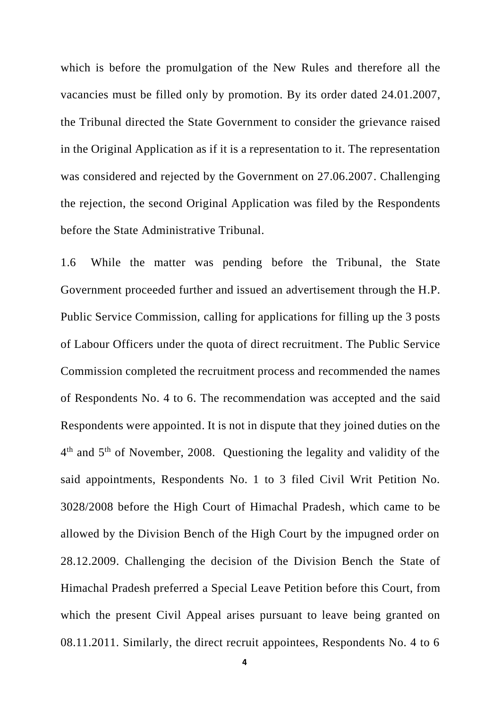which is before the promulgation of the New Rules and therefore all the vacancies must be filled only by promotion. By its order dated 24.01.2007, the Tribunal directed the State Government to consider the grievance raised in the Original Application as if it is a representation to it. The representation was considered and rejected by the Government on 27.06.2007. Challenging the rejection, the second Original Application was filed by the Respondents before the State Administrative Tribunal.

1.6 While the matter was pending before the Tribunal, the State Government proceeded further and issued an advertisement through the H.P. Public Service Commission, calling for applications for filling up the 3 posts of Labour Officers under the quota of direct recruitment. The Public Service Commission completed the recruitment process and recommended the names of Respondents No. 4 to 6. The recommendation was accepted and the said Respondents were appointed. It is not in dispute that they joined duties on the 4<sup>th</sup> and 5<sup>th</sup> of November, 2008. Questioning the legality and validity of the said appointments, Respondents No. 1 to 3 filed Civil Writ Petition No. 3028/2008 before the High Court of Himachal Pradesh, which came to be allowed by the Division Bench of the High Court by the impugned order on 28.12.2009. Challenging the decision of the Division Bench the State of Himachal Pradesh preferred a Special Leave Petition before this Court, from which the present Civil Appeal arises pursuant to leave being granted on 08.11.2011. Similarly, the direct recruit appointees, Respondents No. 4 to 6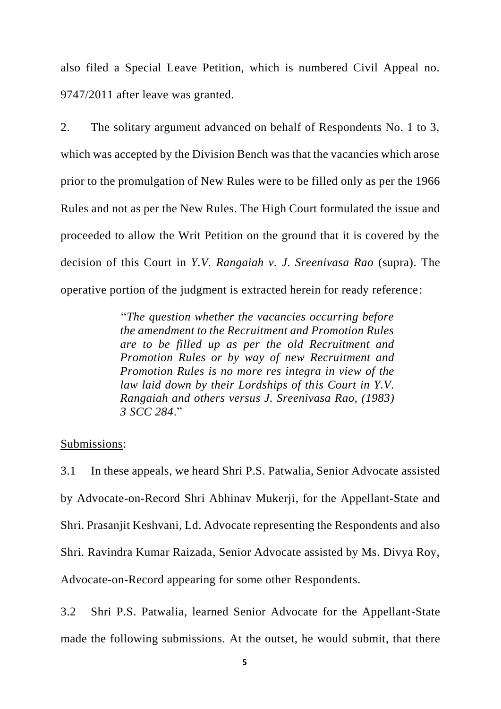also filed a Special Leave Petition, which is numbered Civil Appeal no. 9747/2011 after leave was granted.

2. The solitary argument advanced on behalf of Respondents No. 1 to 3, which was accepted by the Division Bench was that the vacancies which arose prior to the promulgation of New Rules were to be filled only as per the 1966 Rules and not as per the New Rules. The High Court formulated the issue and proceeded to allow the Writ Petition on the ground that it is covered by the decision of this Court in *Y.V. Rangaiah v. J. Sreenivasa Rao* (supra). The operative portion of the judgment is extracted herein for ready reference:

> "*The question whether the vacancies occurring before the amendment to the Recruitment and Promotion Rules are to be filled up as per the old Recruitment and Promotion Rules or by way of new Recruitment and Promotion Rules is no more res integra in view of the law laid down by their Lordships of this Court in Y.V. Rangaiah and others versus J. Sreenivasa Rao, (1983) 3 SCC 284*."

#### Submissions:

3.1 In these appeals, we heard Shri P.S. Patwalia, Senior Advocate assisted by Advocate-on-Record Shri Abhinav Mukerji, for the Appellant-State and Shri. Prasanjit Keshvani, Ld. Advocate representing the Respondents and also Shri. Ravindra Kumar Raizada, Senior Advocate assisted by Ms. Divya Roy, Advocate-on-Record appearing for some other Respondents.

3.2 Shri P.S. Patwalia, learned Senior Advocate for the Appellant-State made the following submissions. At the outset, he would submit, that there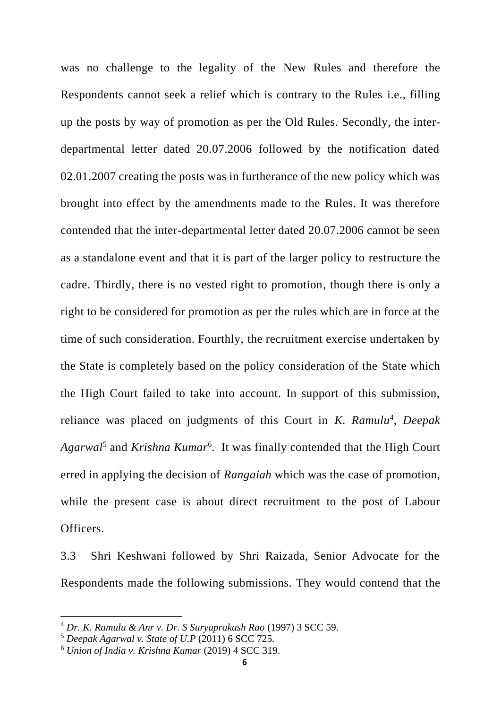was no challenge to the legality of the New Rules and therefore the Respondents cannot seek a relief which is contrary to the Rules i.e., filling up the posts by way of promotion as per the Old Rules. Secondly, the interdepartmental letter dated 20.07.2006 followed by the notification dated 02.01.2007 creating the posts was in furtherance of the new policy which was brought into effect by the amendments made to the Rules. It was therefore contended that the inter-departmental letter dated 20.07.2006 cannot be seen as a standalone event and that it is part of the larger policy to restructure the cadre. Thirdly, there is no vested right to promotion, though there is only a right to be considered for promotion as per the rules which are in force at the time of such consideration. Fourthly, the recruitment exercise undertaken by the State is completely based on the policy consideration of the State which the High Court failed to take into account. In support of this submission, reliance was placed on judgments of this Court in *K. Ramulu<sup>4</sup>*, *Deepak* Agarwal<sup>5</sup> and *Krishna Kumar*<sup>6</sup>. It was finally contended that the High Court erred in applying the decision of *Rangaiah* which was the case of promotion, while the present case is about direct recruitment to the post of Labour Officers.

3.3 Shri Keshwani followed by Shri Raizada, Senior Advocate for the Respondents made the following submissions. They would contend that the

<sup>4</sup> *Dr. K. Ramulu & Anr v. Dr. S Suryaprakash Rao* (1997) 3 SCC 59.

<sup>5</sup> *Deepak Agarwal v. State of U.P* (2011) 6 SCC 725.

<sup>6</sup> *Union of India v. Krishna Kumar* (2019) 4 SCC 319.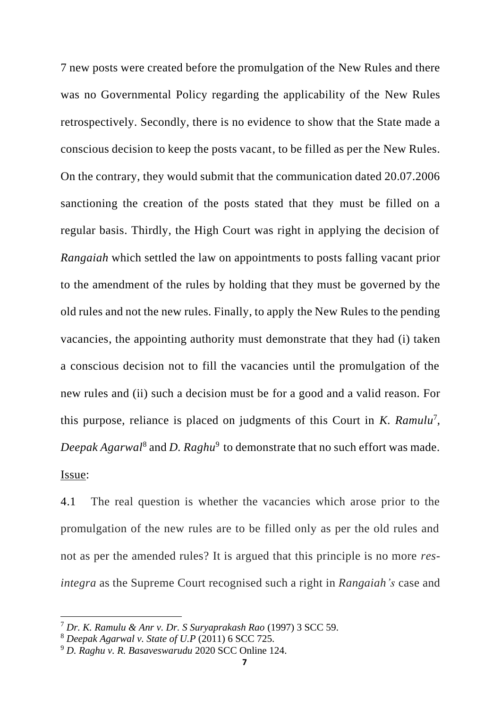7 new posts were created before the promulgation of the New Rules and there was no Governmental Policy regarding the applicability of the New Rules retrospectively. Secondly, there is no evidence to show that the State made a conscious decision to keep the posts vacant, to be filled as per the New Rules. On the contrary, they would submit that the communication dated 20.07.2006 sanctioning the creation of the posts stated that they must be filled on a regular basis. Thirdly, the High Court was right in applying the decision of *Rangaiah* which settled the law on appointments to posts falling vacant prior to the amendment of the rules by holding that they must be governed by the old rules and not the new rules. Finally, to apply the New Rules to the pending vacancies, the appointing authority must demonstrate that they had (i) taken a conscious decision not to fill the vacancies until the promulgation of the new rules and (ii) such a decision must be for a good and a valid reason. For this purpose, reliance is placed on judgments of this Court in *K. Ramulu*<sup>7</sup> , *Deepak Agarwal*<sup>8</sup> and *D. Raghu*<sup>9</sup> to demonstrate that no such effort was made. Issue:

4.1 The real question is whether the vacancies which arose prior to the promulgation of the new rules are to be filled only as per the old rules and not as per the amended rules? It is argued that this principle is no more *resintegra* as the Supreme Court recognised such a right in *Rangaiah's* case and

<sup>7</sup> *Dr. K. Ramulu & Anr v. Dr. S Suryaprakash Rao* (1997) 3 SCC 59.

<sup>8</sup> *Deepak Agarwal v. State of U.P* (2011) 6 SCC 725.

<sup>9</sup> *D. Raghu v. R. Basaveswarudu* 2020 SCC Online 124.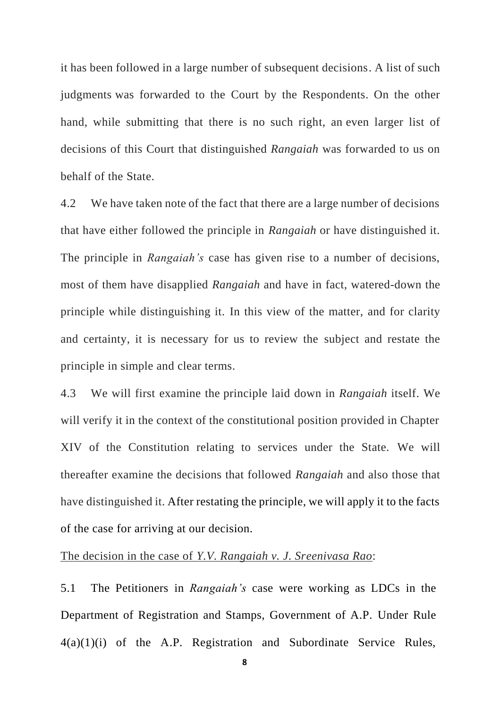it has been followed in a large number of subsequent decisions. A list of such judgments was forwarded to the Court by the Respondents. On the other hand, while submitting that there is no such right, an even larger list of decisions of this Court that distinguished *Rangaiah* was forwarded to us on behalf of the State.

4.2 We have taken note of the fact that there are a large number of decisions that have either followed the principle in *Rangaiah* or have distinguished it. The principle in *Rangaiah's* case has given rise to a number of decisions, most of them have disapplied *Rangaiah* and have in fact, watered-down the principle while distinguishing it. In this view of the matter, and for clarity and certainty, it is necessary for us to review the subject and restate the principle in simple and clear terms.

4.3 We will first examine the principle laid down in *Rangaiah* itself. We will verify it in the context of the constitutional position provided in Chapter XIV of the Constitution relating to services under the State. We will thereafter examine the decisions that followed *Rangaiah* and also those that have distinguished it. After restating the principle, we will apply it to the facts of the case for arriving at our decision.

### The decision in the case of *Y.V. Rangaiah v. J. Sreenivasa Rao*:

5.1 The Petitioners in *Rangaiah's* case were working as LDCs in the Department of Registration and Stamps, Government of A.P. Under Rule 4(a)(1)(i) of the A.P. Registration and Subordinate Service Rules,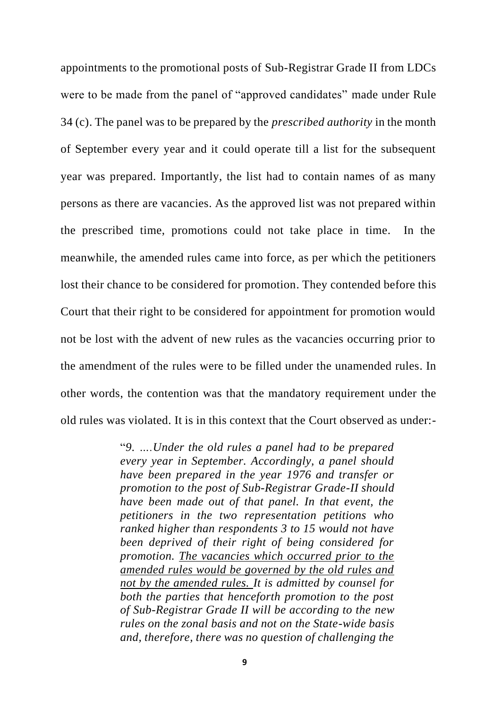appointments to the promotional posts of Sub-Registrar Grade II from LDCs were to be made from the panel of "approved candidates" made under Rule 34 (c). The panel was to be prepared by the *prescribed authority* in the month of September every year and it could operate till a list for the subsequent year was prepared. Importantly, the list had to contain names of as many persons as there are vacancies. As the approved list was not prepared within the prescribed time, promotions could not take place in time. In the meanwhile, the amended rules came into force, as per which the petitioners lost their chance to be considered for promotion. They contended before this Court that their right to be considered for appointment for promotion would not be lost with the advent of new rules as the vacancies occurring prior to the amendment of the rules were to be filled under the unamended rules. In other words, the contention was that the mandatory requirement under the old rules was violated. It is in this context that the Court observed as under:-

> "*9. ….Under the old rules a panel had to be prepared every year in September. Accordingly, a panel should have been prepared in the year 1976 and transfer or promotion to the post of Sub-Registrar Grade-II should have been made out of that panel. In that event, the petitioners in the two representation petitions who ranked higher than respondents 3 to 15 would not have been deprived of their right of being considered for promotion. The vacancies which occurred prior to the amended rules would be governed by the old rules and not by the amended rules. It is admitted by counsel for both the parties that henceforth promotion to the post of Sub-Registrar Grade II will be according to the new rules on the zonal basis and not on the State-wide basis and, therefore, there was no question of challenging the*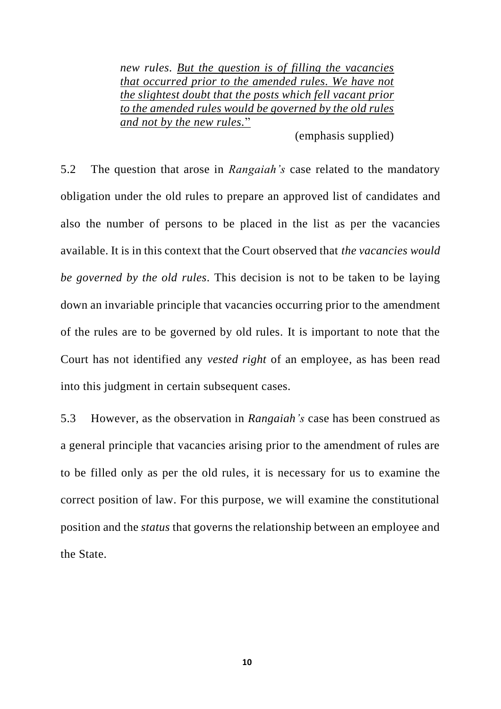*new rules. But the question is of filling the vacancies that occurred prior to the amended rules. We have not the slightest doubt that the posts which fell vacant prior to the amended rules would be governed by the old rules and not by the new rules.*"

(emphasis supplied)

5.2 The question that arose in *Rangaiah's* case related to the mandatory obligation under the old rules to prepare an approved list of candidates and also the number of persons to be placed in the list as per the vacancies available. It is in this context that the Court observed that *the vacancies would be governed by the old rules*. This decision is not to be taken to be laying down an invariable principle that vacancies occurring prior to the amendment of the rules are to be governed by old rules. It is important to note that the Court has not identified any *vested right* of an employee, as has been read into this judgment in certain subsequent cases.

5.3 However, as the observation in *Rangaiah's* case has been construed as a general principle that vacancies arising prior to the amendment of rules are to be filled only as per the old rules, it is necessary for us to examine the correct position of law. For this purpose, we will examine the constitutional position and the *status* that governs the relationship between an employee and the State.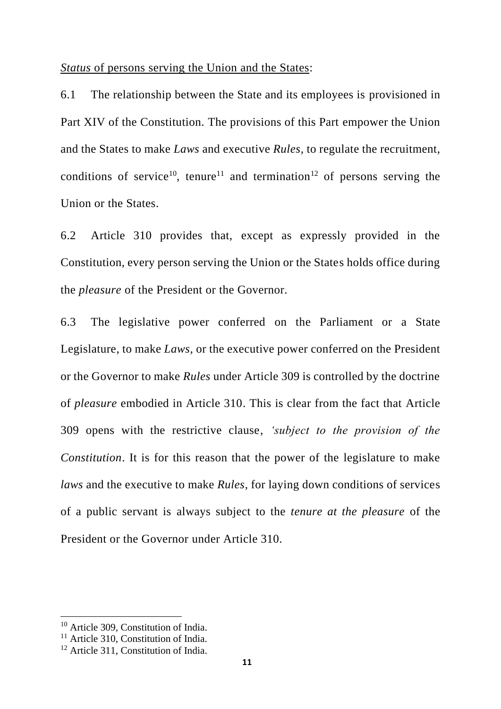*Status* of persons serving the Union and the States:

6.1 The relationship between the State and its employees is provisioned in Part XIV of the Constitution. The provisions of this Part empower the Union and the States to make *Laws* and executive *Rules,* to regulate the recruitment, conditions of service<sup>10</sup>, tenure<sup>11</sup> and termination<sup>12</sup> of persons serving the Union or the States.

6.2 Article 310 provides that, except as expressly provided in the Constitution, every person serving the Union or the States holds office during the *pleasure* of the President or the Governor.

6.3 The legislative power conferred on the Parliament or a State Legislature, to make *Laws,* or the executive power conferred on the President or the Governor to make *Rules* under Article 309 is controlled by the doctrine of *pleasure* embodied in Article 310. This is clear from the fact that Article 309 opens with the restrictive clause, *'subject to the provision of the Constitution*. It is for this reason that the power of the legislature to make *laws* and the executive to make *Rules*, for laying down conditions of services of a public servant is always subject to the *tenure at the pleasure* of the President or the Governor under Article 310.

<sup>&</sup>lt;sup>10</sup> Article 309, Constitution of India.

<sup>&</sup>lt;sup>11</sup> Article 310, Constitution of India.

<sup>&</sup>lt;sup>12</sup> Article 311, Constitution of India.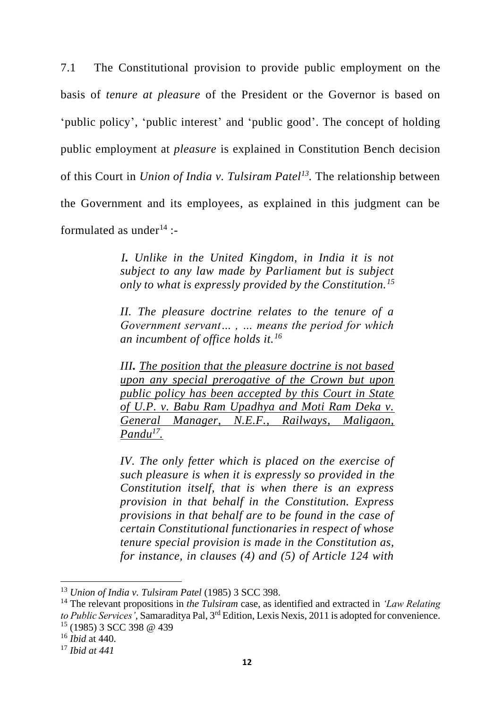7.1 The Constitutional provision to provide public employment on the basis of *tenure at pleasure* of the President or the Governor is based on 'public policy', 'public interest' and 'public good'. The concept of holding public employment at *pleasure* is explained in Constitution Bench decision of this Court in *Union of India v. Tulsiram Patel<sup>13</sup> .* The relationship between the Government and its employees, as explained in this judgment can be formulated as under  $14$   $-$ 

> *I. Unlike in the United Kingdom, in India it is not subject to any law made by Parliament but is subject only to what is expressly provided by the Constitution.<sup>15</sup>*

> *II. The pleasure doctrine relates to the tenure of a Government servant… , … means the period for which an incumbent of office holds it.<sup>16</sup>*

> *III. The position that the pleasure doctrine is not based upon any special prerogative of the Crown but upon public policy has been accepted by this Court in State of U.P. v. Babu Ram Upadhya and Moti Ram Deka v. General Manager, N.E.F., Railways, Maligaon, Pandu<sup>17</sup> .*

> *IV. The only fetter which is placed on the exercise of such pleasure is when it is expressly so provided in the Constitution itself, that is when there is an express provision in that behalf in the Constitution. Express provisions in that behalf are to be found in the case of certain Constitutional functionaries in respect of whose tenure special provision is made in the Constitution as, for instance, in clauses (4) and (5) of Article 124 with*

<sup>13</sup> *Union of India v. Tulsiram Patel* (1985) 3 SCC 398.

<sup>14</sup> The relevant propositions in *the Tulsiram* case, as identified and extracted in *'Law Relating to Public Services'*, Samaraditya Pal, 3rd Edition, Lexis Nexis, 2011 is adopted for convenience.  $15$  (1985) 3 SCC 398 @ 439

<sup>16</sup> *Ibid* at 440.

<sup>17</sup> *Ibid at 441*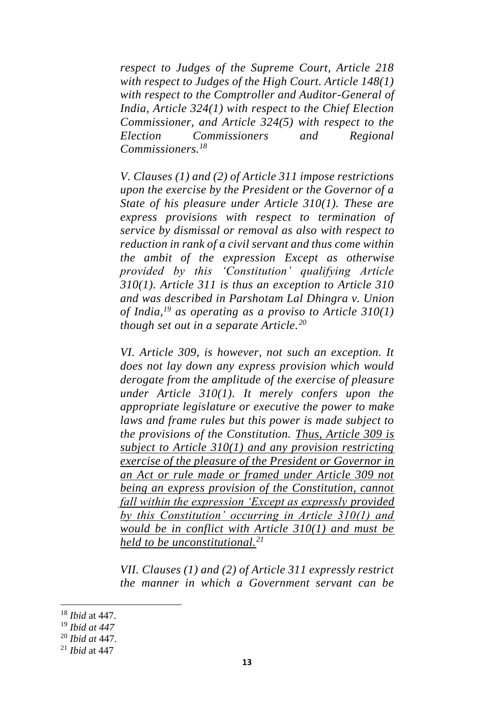*respect to Judges of the Supreme Court, Article 218 with respect to Judges of the High Court. Article 148(1) with respect to the Comptroller and Auditor-General of India, Article 324(1) with respect to the Chief Election Commissioner, and Article 324(5) with respect to the Election Commissioners and Regional Commissioners.<sup>18</sup>*

*V. Clauses (1) and (2) of Article 311 impose restrictions upon the exercise by the President or the Governor of a State of his pleasure under Article 310(1). These are express provisions with respect to termination of service by dismissal or removal as also with respect to reduction in rank of a civil servant and thus come within the ambit of the expression Except as otherwise provided by this 'Constitution' qualifying Article 310(1). Article 311 is thus an exception to Article 310 and was described in Parshotam Lal Dhingra v. Union of India,<sup>19</sup> as operating as a proviso to Article 310(1) though set out in a separate Article.<sup>20</sup>*

*VI. Article 309, is however, not such an exception. It does not lay down any express provision which would derogate from the amplitude of the exercise of pleasure under Article 310(1). It merely confers upon the appropriate legislature or executive the power to make laws and frame rules but this power is made subject to the provisions of the Constitution. Thus, Article 309 is subject to Article 310(1) and any provision restricting exercise of the pleasure of the President or Governor in an Act or rule made or framed under Article 309 not being an express provision of the Constitution, cannot fall within the expression 'Except as expressly provided by this Constitution' occurring in Article 310(1) and would be in conflict with Article 310(1) and must be held to be unconstitutional.<sup>21</sup>*

*VII. Clauses (1) and (2) of Article 311 expressly restrict the manner in which a Government servant can be* 

<sup>18</sup> *Ibid* at 447.

<sup>19</sup> *Ibid at 447*

<sup>20</sup> *Ibid at* 447.

<sup>21</sup> *Ibid* at 447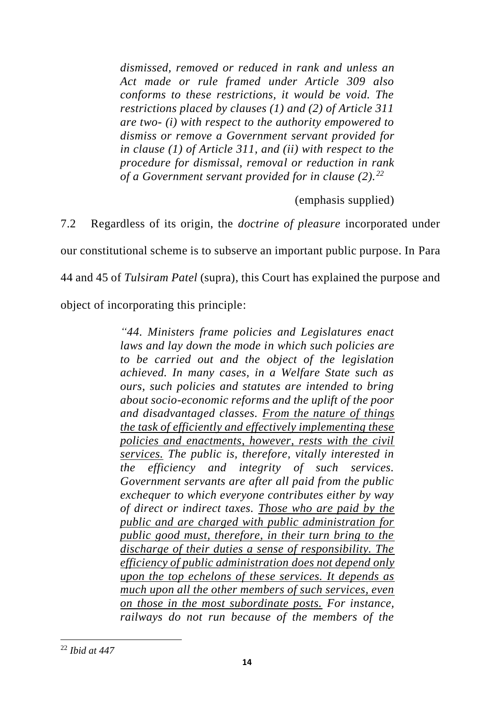*dismissed, removed or reduced in rank and unless an Act made or rule framed under Article 309 also conforms to these restrictions, it would be void. The restrictions placed by clauses (1) and (2) of Article 311 are two- (i) with respect to the authority empowered to dismiss or remove a Government servant provided for in clause (1) of Article 311, and (ii) with respect to the procedure for dismissal, removal or reduction in rank of a Government servant provided for in clause (2).<sup>22</sup>*

(emphasis supplied)

7.2 Regardless of its origin, the *doctrine of pleasure* incorporated under

our constitutional scheme is to subserve an important public purpose. In Para

44 and 45 of *Tulsiram Patel* (supra), this Court has explained the purpose and

object of incorporating this principle:

*"44. Ministers frame policies and Legislatures enact laws and lay down the mode in which such policies are to be carried out and the object of the legislation achieved. In many cases, in a Welfare State such as ours, such policies and statutes are intended to bring about socio-economic reforms and the uplift of the poor and disadvantaged classes. From the nature of things the task of efficiently and effectively implementing these policies and enactments, however, rests with the civil services. The public is, therefore, vitally interested in the efficiency and integrity of such services. Government servants are after all paid from the public exchequer to which everyone contributes either by way of direct or indirect taxes. Those who are paid by the public and are charged with public administration for public good must, therefore, in their turn bring to the discharge of their duties a sense of responsibility. The efficiency of public administration does not depend only upon the top echelons of these services. It depends as much upon all the other members of such services, even on those in the most subordinate posts. For instance, railways do not run because of the members of the* 

<sup>22</sup> *Ibid at 447*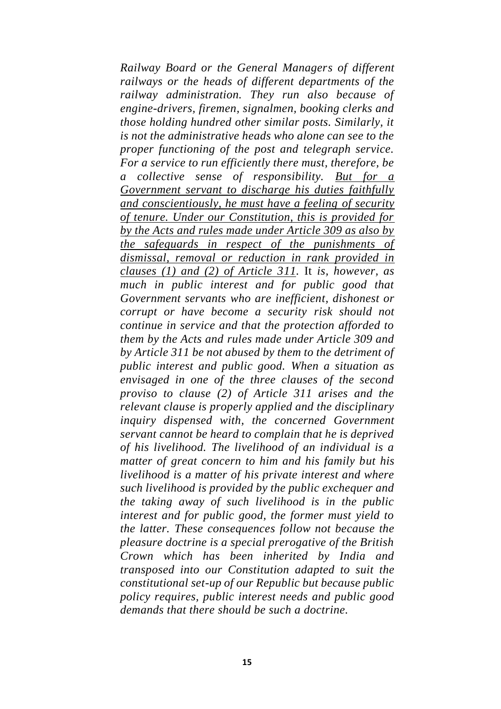*Railway Board or the General Managers of different railways or the heads of different departments of the railway administration. They run also because of engine-drivers, firemen, signalmen, booking clerks and those holding hundred other similar posts. Similarly, it is not the administrative heads who alone can see to the proper functioning of the post and telegraph service. For a service to run efficiently there must, therefore, be a collective sense of responsibility. But for a Government servant to discharge his duties faithfully and conscientiously, he must have a feeling of security of tenure. Under our Constitution, this is provided for by the Acts and rules made under Article 309 as also by the safeguards in respect of the punishments of dismissal, removal or reduction in rank provided in clauses (1) and (2) of Article 311.* It *is, however, as much in public interest and for public good that Government servants who are inefficient, dishonest or corrupt or have become a security risk should not continue in service and that the protection afforded to them by the Acts and rules made under Article 309 and by Article 311 be not abused by them to the detriment of public interest and public good. When a situation as envisaged in one of the three clauses of the second proviso to clause (2) of Article 311 arises and the relevant clause is properly applied and the disciplinary inquiry dispensed with, the concerned Government servant cannot be heard to complain that he is deprived of his livelihood. The livelihood of an individual is a matter of great concern to him and his family but his livelihood is a matter of his private interest and where such livelihood is provided by the public exchequer and the taking away of such livelihood is in the public interest and for public good, the former must yield to the latter. These consequences follow not because the pleasure doctrine is a special prerogative of the British Crown which has been inherited by India and transposed into our Constitution adapted to suit the constitutional set-up of our Republic but because public policy requires, public interest needs and public good demands that there should be such a doctrine.*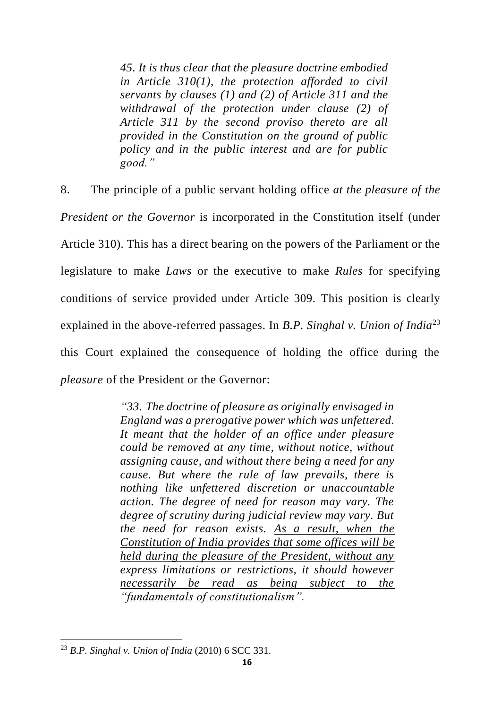*45. It is thus clear that the pleasure doctrine embodied in Article 310(1), the protection afforded to civil servants by clauses (1) and (2) of Article 311 and the withdrawal of the protection under clause (2) of Article 311 by the second proviso thereto are all provided in the Constitution on the ground of public policy and in the public interest and are for public good."*

8. The principle of a public servant holding office *at the pleasure of the President or the Governor* is incorporated in the Constitution itself (under Article 310). This has a direct bearing on the powers of the Parliament or the legislature to make *Laws* or the executive to make *Rules* for specifying conditions of service provided under Article 309. This position is clearly explained in the above-referred passages. In *B.P. Singhal v. Union of India*<sup>23</sup> this Court explained the consequence of holding the office during the *pleasure* of the President or the Governor:

> *"33. The doctrine of pleasure as originally envisaged in England was a prerogative power which was unfettered. It meant that the holder of an office under pleasure could be removed at any time, without notice, without assigning cause, and without there being a need for any cause. But where the rule of law prevails, there is nothing like unfettered discretion or unaccountable action. The degree of need for reason may vary. The degree of scrutiny during judicial review may vary. But the need for reason exists. As a result, when the Constitution of India provides that some offices will be held during the pleasure of the President, without any express limitations or restrictions, it should however necessarily be read as being subject to the "fundamentals of constitutionalism".*

<sup>23</sup> *B.P. Singhal v. Union of India* (2010) 6 SCC 331.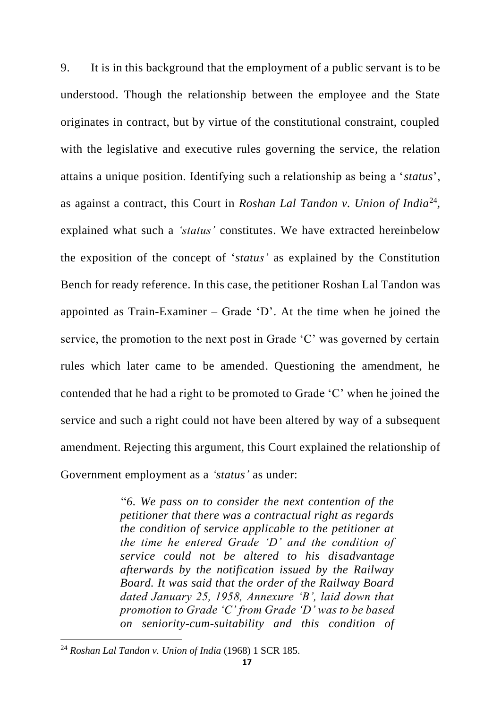9. It is in this background that the employment of a public servant is to be understood. Though the relationship between the employee and the State originates in contract, but by virtue of the constitutional constraint, coupled with the legislative and executive rules governing the service, the relation attains a unique position. Identifying such a relationship as being a '*status*', as against a contract, this Court in *Roshan Lal Tandon v. Union of India*<sup>24</sup>, explained what such a *'status'* constitutes. We have extracted hereinbelow the exposition of the concept of '*status'* as explained by the Constitution Bench for ready reference. In this case, the petitioner Roshan Lal Tandon was appointed as Train-Examiner – Grade 'D'. At the time when he joined the service, the promotion to the next post in Grade 'C' was governed by certain rules which later came to be amended. Questioning the amendment, he contended that he had a right to be promoted to Grade 'C' when he joined the service and such a right could not have been altered by way of a subsequent amendment. Rejecting this argument, this Court explained the relationship of Government employment as a *'status'* as under:

> "*6. We pass on to consider the next contention of the petitioner that there was a contractual right as regards the condition of service applicable to the petitioner at the time he entered Grade 'D' and the condition of service could not be altered to his disadvantage afterwards by the notification issued by the Railway Board. It was said that the order of the Railway Board dated January 25, 1958, Annexure 'B', laid down that promotion to Grade 'C' from Grade 'D' was to be based on seniority-cum-suitability and this condition of*

<sup>24</sup> *Roshan Lal Tandon v. Union of India* (1968) 1 SCR 185.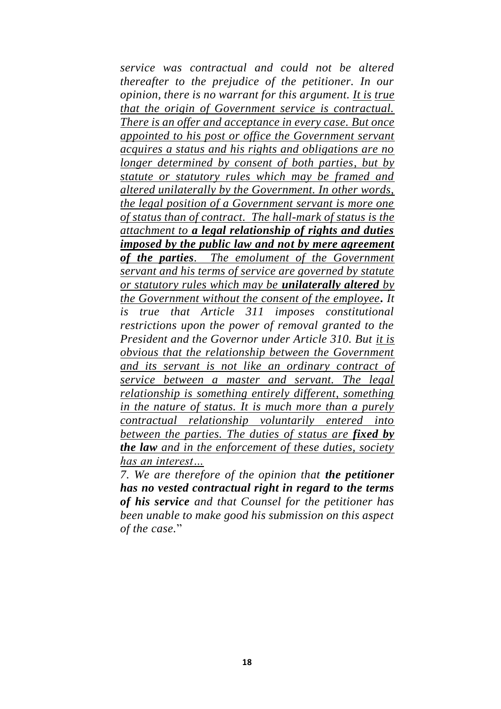*service was contractual and could not be altered thereafter to the prejudice of the petitioner. In our opinion, there is no warrant for this argument. It is true that the origin of Government service is contractual. There is an offer and acceptance in every case. But once appointed to his post or office the Government servant acquires a status and his rights and obligations are no longer determined by consent of both parties, but by statute or statutory rules which may be framed and altered unilaterally by the Government. In other words, the legal position of a Government servant is more one of status than of contract. The hall-mark of status is the attachment to a legal relationship of rights and duties imposed by the public law and not by mere agreement of the parties. The emolument of the Government servant and his terms of service are governed by statute or statutory rules which may be unilaterally altered by the Government without the consent of the employee. It is true that Article 311 imposes constitutional restrictions upon the power of removal granted to the President and the Governor under Article 310. But it is obvious that the relationship between the Government and its servant is not like an ordinary contract of service between a master and servant. The legal relationship is something entirely different, something in the nature of status. It is much more than a purely contractual relationship voluntarily entered into between the parties. The duties of status are fixed by the law and in the enforcement of these duties, society has an interest…*

*7. We are therefore of the opinion that the petitioner has no vested contractual right in regard to the terms of his service and that Counsel for the petitioner has been unable to make good his submission on this aspect of the case.*"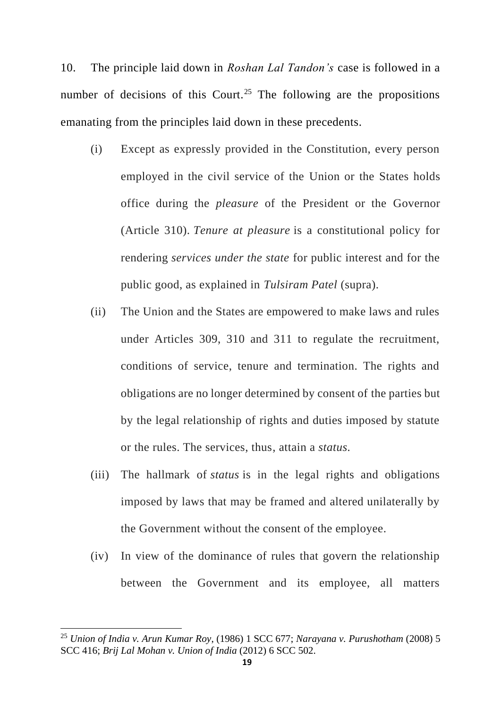10. The principle laid down in *Roshan Lal Tandon's* case is followed in a number of decisions of this Court.<sup>25</sup> The following are the propositions emanating from the principles laid down in these precedents.

- (i) Except as expressly provided in the Constitution, every person employed in the civil service of the Union or the States holds office during the *pleasure* of the President or the Governor (Article 310). *Tenure at pleasure* is a constitutional policy for rendering *services under the state* for public interest and for the public good, as explained in *Tulsiram Patel* (supra).
- (ii) The Union and the States are empowered to make laws and rules under Articles 309, 310 and 311 to regulate the recruitment, conditions of service, tenure and termination. The rights and obligations are no longer determined by consent of the parties but by the legal relationship of rights and duties imposed by statute or the rules. The services, thus, attain a *status.*
- (iii) The hallmark of *status* is in the legal rights and obligations imposed by laws that may be framed and altered unilaterally by the Government without the consent of the employee.
- (iv) In view of the dominance of rules that govern the relationship between the Government and its employee, all matters

<sup>25</sup> *Union of India v. Arun Kumar Roy*, (1986) 1 SCC 677; *Narayana v. Purushotham* (2008) 5 SCC 416; *Brij Lal Mohan v. Union of India* (2012) 6 SCC 502.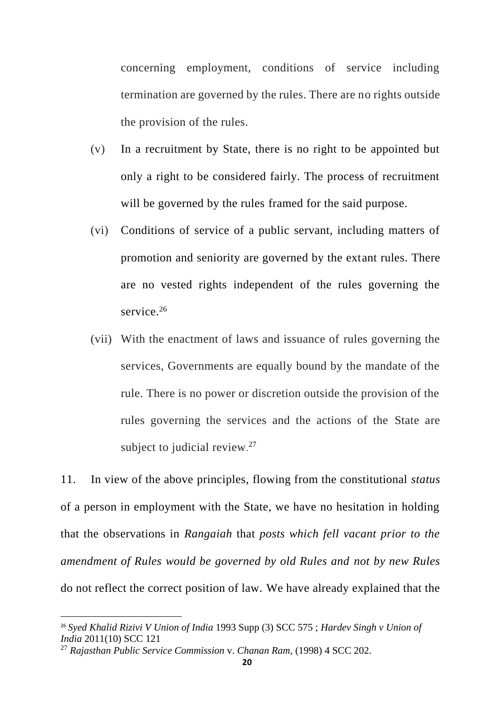concerning employment, conditions of service including termination are governed by the rules. There are no rights outside the provision of the rules.

- (v) In a recruitment by State, there is no right to be appointed but only a right to be considered fairly. The process of recruitment will be governed by the rules framed for the said purpose.
- (vi) Conditions of service of a public servant, including matters of promotion and seniority are governed by the extant rules. There are no vested rights independent of the rules governing the service.<sup>26</sup>
- (vii) With the enactment of laws and issuance of rules governing the services, Governments are equally bound by the mandate of the rule. There is no power or discretion outside the provision of the rules governing the services and the actions of the State are subject to judicial review. $27$

11. In view of the above principles, flowing from the constitutional *status*  of a person in employment with the State, we have no hesitation in holding that the observations in *Rangaiah* that *posts which fell vacant prior to the amendment of Rules would be governed by old Rules and not by new Rules*  do not reflect the correct position of law. We have already explained that the

<sup>26</sup> *Syed Khalid Rizivi V Union of India* 1993 Supp (3) SCC 575 ; *Hardev Singh v Union of India* 2011(10) SCC 121

<sup>27</sup> *Rajasthan Public Service Commission* v. *Chanan Ram*, (1998) 4 SCC 202.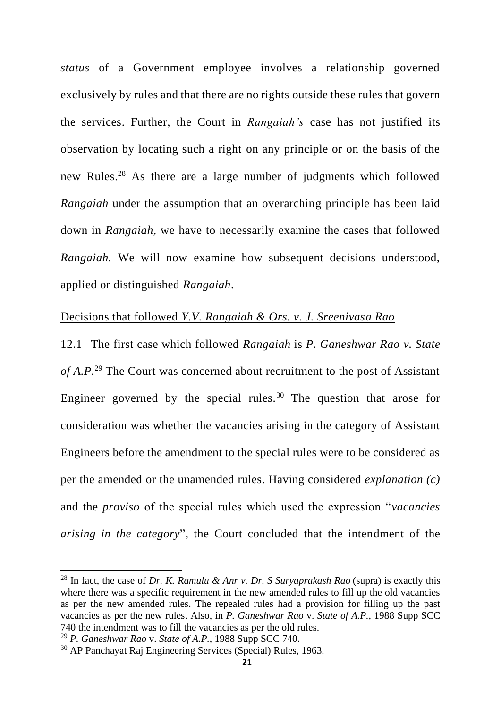*status* of a Government employee involves a relationship governed exclusively by rules and that there are no rights outside these rules that govern the services. Further, the Court in *Rangaiah's* case has not justified its observation by locating such a right on any principle or on the basis of the new Rules.<sup>28</sup> As there are a large number of judgments which followed *Rangaiah* under the assumption that an overarching principle has been laid down in *Rangaiah,* we have to necessarily examine the cases that followed *Rangaiah.* We will now examine how subsequent decisions understood, applied or distinguished *Rangaiah*.

### Decisions that followed *Y.V. Rangaiah & Ors. v. J. Sreenivasa Rao*

12.1 The first case which followed *Rangaiah* is *P. Ganeshwar Rao v. State of A.P.* <sup>29</sup> The Court was concerned about recruitment to the post of Assistant Engineer governed by the special rules.<sup>30</sup> The question that arose for consideration was whether the vacancies arising in the category of Assistant Engineers before the amendment to the special rules were to be considered as per the amended or the unamended rules. Having considered *explanation (c)* and the *proviso* of the special rules which used the expression "*vacancies arising in the category*", the Court concluded that the intendment of the

<sup>28</sup> In fact, the case of *Dr. K. Ramulu & Anr v. Dr. S Suryaprakash Rao* (supra) is exactly this where there was a specific requirement in the new amended rules to fill up the old vacancies as per the new amended rules. The repealed rules had a provision for filling up the past vacancies as per the new rules. Also, in *P. Ganeshwar Rao* v. *State of A.P.*, 1988 Supp SCC 740 the intendment was to fill the vacancies as per the old rules.

<sup>29</sup> *P. Ganeshwar Rao* v. *State of A.P.*, 1988 Supp SCC 740.

<sup>30</sup> AP Panchayat Raj Engineering Services (Special) Rules, 1963.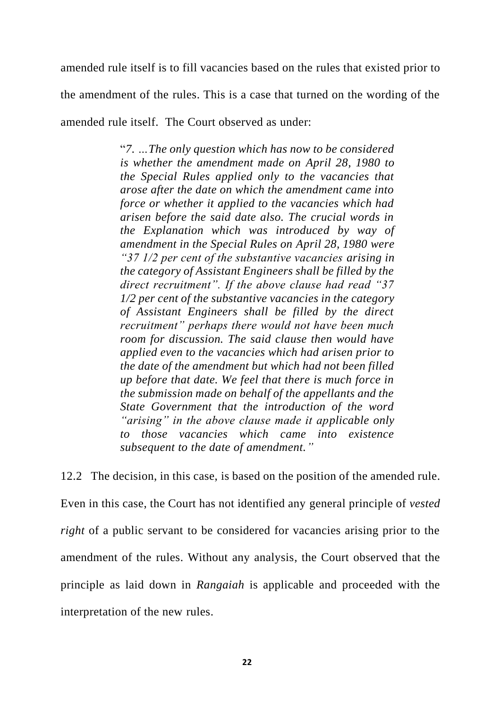amended rule itself is to fill vacancies based on the rules that existed prior to the amendment of the rules. This is a case that turned on the wording of the amended rule itself. The Court observed as under:

> "*7. …The only question which has now to be considered is whether the amendment made on April 28, 1980 to the Special Rules applied only to the vacancies that arose after the date on which the amendment came into force or whether it applied to the vacancies which had arisen before the said date also. The crucial words in the Explanation which was introduced by way of amendment in the Special Rules on April 28, 1980 were "37 1/2 per cent of the substantive vacancies arising in the category of Assistant Engineers shall be filled by the direct recruitment". If the above clause had read "37 1/2 per cent of the substantive vacancies in the category of Assistant Engineers shall be filled by the direct recruitment" perhaps there would not have been much room for discussion. The said clause then would have applied even to the vacancies which had arisen prior to the date of the amendment but which had not been filled up before that date. We feel that there is much force in the submission made on behalf of the appellants and the State Government that the introduction of the word "arising" in the above clause made it applicable only to those vacancies which came into existence subsequent to the date of amendment."*

12.2 The decision, in this case, is based on the position of the amended rule. Even in this case, the Court has not identified any general principle of *vested right* of a public servant to be considered for vacancies arising prior to the amendment of the rules. Without any analysis, the Court observed that the principle as laid down in *Rangaiah* is applicable and proceeded with the interpretation of the new rules.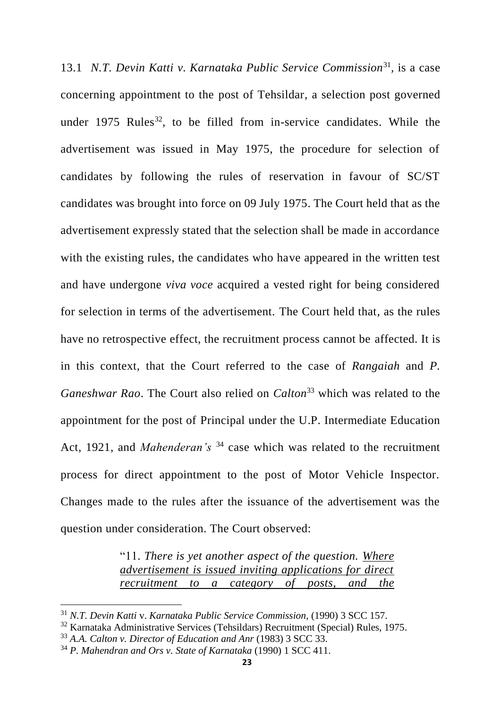13.1 *N.T. Devin Katti v. Karnataka Public Service Commission*<sup>31</sup>, is a case concerning appointment to the post of Tehsildar, a selection post governed under 1975 Rules<sup>32</sup>, to be filled from in-service candidates. While the advertisement was issued in May 1975, the procedure for selection of candidates by following the rules of reservation in favour of SC/ST candidates was brought into force on 09 July 1975. The Court held that as the advertisement expressly stated that the selection shall be made in accordance with the existing rules, the candidates who have appeared in the written test and have undergone *viva voce* acquired a vested right for being considered for selection in terms of the advertisement. The Court held that, as the rules have no retrospective effect, the recruitment process cannot be affected. It is in this context, that the Court referred to the case of *Rangaiah* and *P. Ganeshwar Rao*. The Court also relied on *Calton*<sup>33</sup> which was related to the appointment for the post of Principal under the U.P. Intermediate Education Act, 1921, and *Mahenderan's* <sup>34</sup> case which was related to the recruitment process for direct appointment to the post of Motor Vehicle Inspector. Changes made to the rules after the issuance of the advertisement was the question under consideration. The Court observed:

> "11*. There is yet another aspect of the question. Where advertisement is issued inviting applications for direct recruitment to a category of posts, and the*

<sup>31</sup> *N.T. Devin Katti* v. *Karnataka Public Service Commission*, (1990) 3 SCC 157.

 $32$  Karnataka Administrative Services (Tehsildars) Recruitment (Special) Rules, 1975.

<sup>33</sup> *A.A. Calton v. Director of Education and Anr* (1983) 3 SCC 33.

<sup>34</sup> *P. Mahendran and Ors v. State of Karnataka* (1990) 1 SCC 411.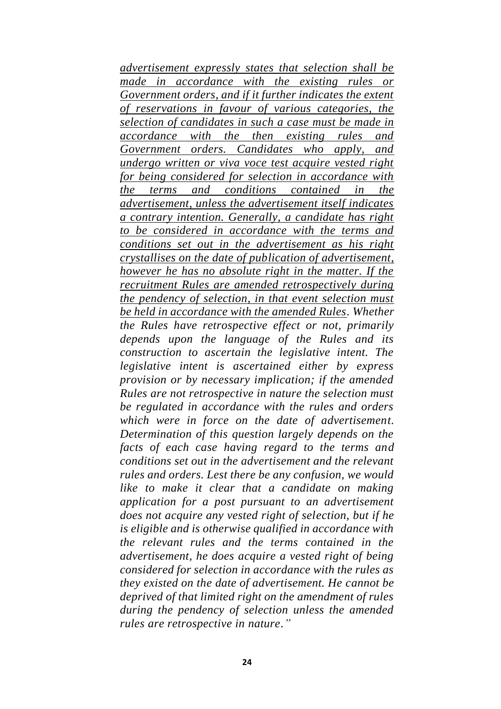*advertisement expressly states that selection shall be made in accordance with the existing rules or Government orders, and if it further indicates the extent of reservations in favour of various categories, the selection of candidates in such a case must be made in accordance with the then existing rules and Government orders. Candidates who apply, and undergo written or viva voce test acquire vested right for being considered for selection in accordance with the terms and conditions contained in the advertisement, unless the advertisement itself indicates a contrary intention. Generally, a candidate has right to be considered in accordance with the terms and conditions set out in the advertisement as his right crystallises on the date of publication of advertisement, however he has no absolute right in the matter. If the recruitment Rules are amended retrospectively during the pendency of selection, in that event selection must be held in accordance with the amended Rules. Whether the Rules have retrospective effect or not, primarily depends upon the language of the Rules and its construction to ascertain the legislative intent. The legislative intent is ascertained either by express provision or by necessary implication; if the amended Rules are not retrospective in nature the selection must be regulated in accordance with the rules and orders which were in force on the date of advertisement. Determination of this question largely depends on the facts of each case having regard to the terms and conditions set out in the advertisement and the relevant rules and orders. Lest there be any confusion, we would like to make it clear that a candidate on making application for a post pursuant to an advertisement does not acquire any vested right of selection, but if he is eligible and is otherwise qualified in accordance with the relevant rules and the terms contained in the advertisement, he does acquire a vested right of being considered for selection in accordance with the rules as they existed on the date of advertisement. He cannot be deprived of that limited right on the amendment of rules during the pendency of selection unless the amended rules are retrospective in nature."*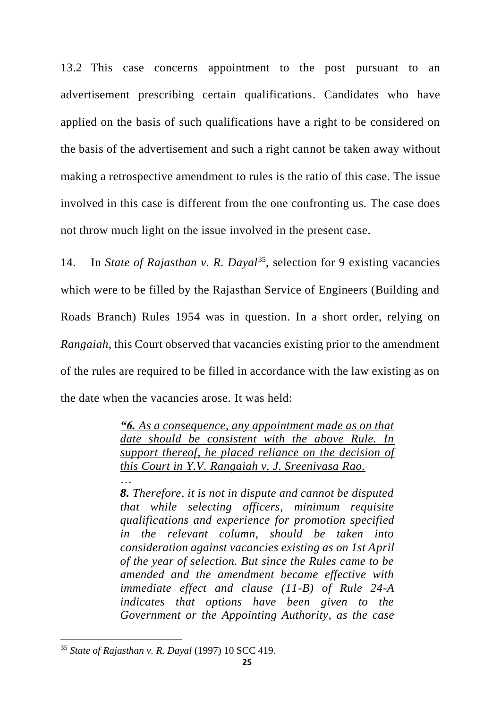13.2 This case concerns appointment to the post pursuant to an advertisement prescribing certain qualifications. Candidates who have applied on the basis of such qualifications have a right to be considered on the basis of the advertisement and such a right cannot be taken away without making a retrospective amendment to rules is the ratio of this case. The issue involved in this case is different from the one confronting us. The case does not throw much light on the issue involved in the present case.

14. In *State of Rajasthan v. R. Dayal*<sup>35</sup>, selection for 9 existing vacancies which were to be filled by the Rajasthan Service of Engineers (Building and Roads Branch) Rules 1954 was in question. In a short order, relying on *Rangaiah*, this Court observed that vacancies existing prior to the amendment of the rules are required to be filled in accordance with the law existing as on the date when the vacancies arose. It was held:

> *"6. As a consequence, any appointment made as on that date should be consistent with the above Rule. In support thereof, he placed reliance on the decision of this Court in Y.V. Rangaiah v. J. Sreenivasa Rao.* …

> *8. Therefore, it is not in dispute and cannot be disputed that while selecting officers, minimum requisite qualifications and experience for promotion specified in the relevant column, should be taken into consideration against vacancies existing as on 1st April of the year of selection. But since the Rules came to be amended and the amendment became effective with immediate effect and clause (11-B) of Rule 24-A indicates that options have been given to the Government or the Appointing Authority, as the case*

<sup>35</sup> *State of Rajasthan v. R. Dayal* (1997) 10 SCC 419.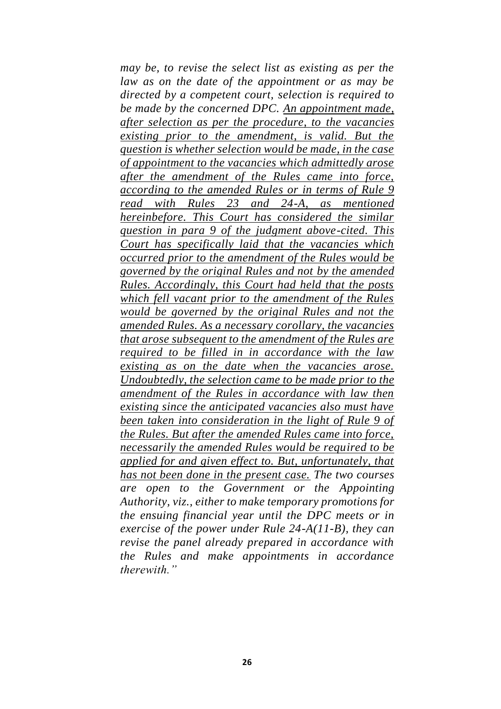*may be, to revise the select list as existing as per the law as on the date of the appointment or as may be directed by a competent court, selection is required to be made by the concerned DPC. An appointment made, after selection as per the procedure, to the vacancies existing prior to the amendment, is valid. But the question is whether selection would be made, in the case of appointment to the vacancies which admittedly arose after the amendment of the Rules came into force, according to the amended Rules or in terms of Rule 9 read with Rules 23 and 24-A, as mentioned hereinbefore. This Court has considered the similar question in para 9 of the judgment above-cited. This Court has specifically laid that the vacancies which occurred prior to the amendment of the Rules would be governed by the original Rules and not by the amended Rules. Accordingly, this Court had held that the posts which fell vacant prior to the amendment of the Rules would be governed by the original Rules and not the amended Rules. As a necessary corollary, the vacancies that arose subsequent to the amendment of the Rules are required to be filled in in accordance with the law existing as on the date when the vacancies arose. Undoubtedly, the selection came to be made prior to the amendment of the Rules in accordance with law then existing since the anticipated vacancies also must have been taken into consideration in the light of Rule 9 of the Rules. But after the amended Rules came into force, necessarily the amended Rules would be required to be applied for and given effect to. But, unfortunately, that has not been done in the present case. The two courses are open to the Government or the Appointing Authority, viz., either to make temporary promotions for the ensuing financial year until the DPC meets or in exercise of the power under Rule 24-A(11-B), they can revise the panel already prepared in accordance with the Rules and make appointments in accordance therewith."*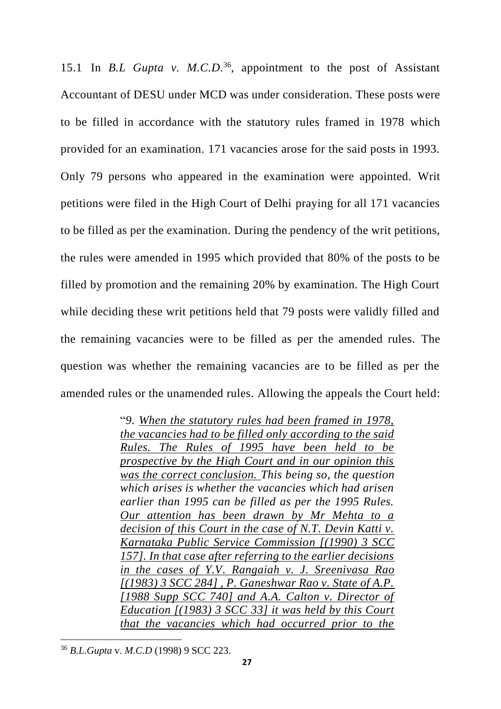15.1 In *B.L Gupta v. M.C.D.*<sup>36</sup> , appointment to the post of Assistant Accountant of DESU under MCD was under consideration. These posts were to be filled in accordance with the statutory rules framed in 1978 which provided for an examination. 171 vacancies arose for the said posts in 1993. Only 79 persons who appeared in the examination were appointed. Writ petitions were filed in the High Court of Delhi praying for all 171 vacancies to be filled as per the examination. During the pendency of the writ petitions, the rules were amended in 1995 which provided that 80% of the posts to be filled by promotion and the remaining 20% by examination. The High Court while deciding these writ petitions held that 79 posts were validly filled and the remaining vacancies were to be filled as per the amended rules. The question was whether the remaining vacancies are to be filled as per the amended rules or the unamended rules. Allowing the appeals the Court held:

> "*9. When the statutory rules had been framed in 1978, the vacancies had to be filled only according to the said Rules. The Rules of 1995 have been held to be prospective by the High Court and in our opinion this was the correct conclusion. This being so, the question which arises is whether the vacancies which had arisen earlier than 1995 can be filled as per the 1995 Rules. Our attention has been drawn by Mr Mehta to a decision of this Court in the case of N.T. Devin Katti v. Karnataka Public Service Commission [(1990) 3 SCC 157]. In that case after referring to the earlier decisions in the cases of Y.V. Rangaiah v. J. Sreenivasa Rao [(1983) 3 SCC 284] , P. Ganeshwar Rao v. State of A.P. [1988 Supp SCC 740] and A.A. Calton v. Director of Education [(1983) 3 SCC 33] it was held by this Court that the vacancies which had occurred prior to the*

<sup>36</sup> *B.L.Gupta* v. *M.C.D* (1998) 9 SCC 223.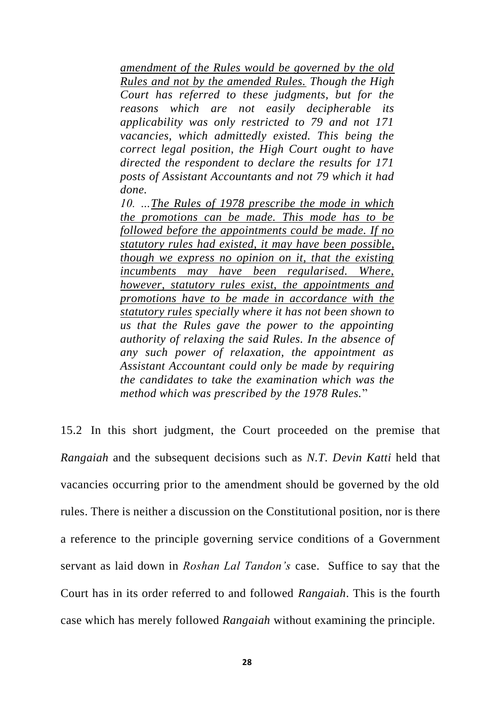*amendment of the Rules would be governed by the old Rules and not by the amended Rules. Though the High Court has referred to these judgments, but for the reasons which are not easily decipherable its applicability was only restricted to 79 and not 171 vacancies, which admittedly existed. This being the correct legal position, the High Court ought to have directed the respondent to declare the results for 171 posts of Assistant Accountants and not 79 which it had done.*

*10. …The Rules of 1978 prescribe the mode in which the promotions can be made. This mode has to be followed before the appointments could be made. If no statutory rules had existed, it may have been possible, though we express no opinion on it, that the existing incumbents may have been regularised. Where, however, statutory rules exist, the appointments and promotions have to be made in accordance with the statutory rules specially where it has not been shown to us that the Rules gave the power to the appointing authority of relaxing the said Rules. In the absence of any such power of relaxation, the appointment as Assistant Accountant could only be made by requiring the candidates to take the examination which was the method which was prescribed by the 1978 Rules.*"

15.2 In this short judgment, the Court proceeded on the premise that *Rangaiah* and the subsequent decisions such as *N.T. Devin Katti* held that vacancies occurring prior to the amendment should be governed by the old rules. There is neither a discussion on the Constitutional position, nor is there a reference to the principle governing service conditions of a Government servant as laid down in *Roshan Lal Tandon's* case. Suffice to say that the Court has in its order referred to and followed *Rangaiah*. This is the fourth case which has merely followed *Rangaiah* without examining the principle.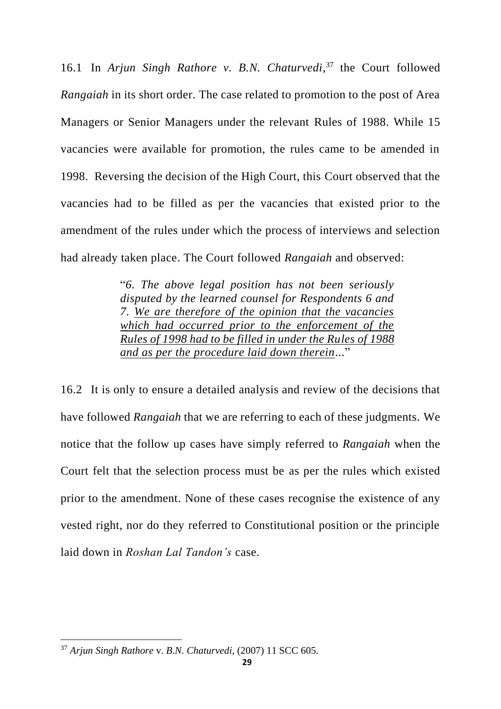16.1 In *Arjun Singh Rathore v. B.N. Chaturvedi*, <sup>37</sup> the Court followed *Rangaiah* in its short order. The case related to promotion to the post of Area Managers or Senior Managers under the relevant Rules of 1988. While 15 vacancies were available for promotion, the rules came to be amended in 1998. Reversing the decision of the High Court, this Court observed that the vacancies had to be filled as per the vacancies that existed prior to the amendment of the rules under which the process of interviews and selection had already taken place. The Court followed *Rangaiah* and observed:

> "*6. The above legal position has not been seriously disputed by the learned counsel for Respondents 6 and 7. We are therefore of the opinion that the vacancies which had occurred prior to the enforcement of the Rules of 1998 had to be filled in under the Rules of 1988 and as per the procedure laid down therein...*"

16.2 It is only to ensure a detailed analysis and review of the decisions that have followed *Rangaiah* that we are referring to each of these judgments. We notice that the follow up cases have simply referred to *Rangaiah* when the Court felt that the selection process must be as per the rules which existed prior to the amendment. None of these cases recognise the existence of any vested right, nor do they referred to Constitutional position or the principle laid down in *Roshan Lal Tandon's* case.

<sup>37</sup> *Arjun Singh Rathore* v. *B.N. Chaturvedi*, (2007) 11 SCC 605.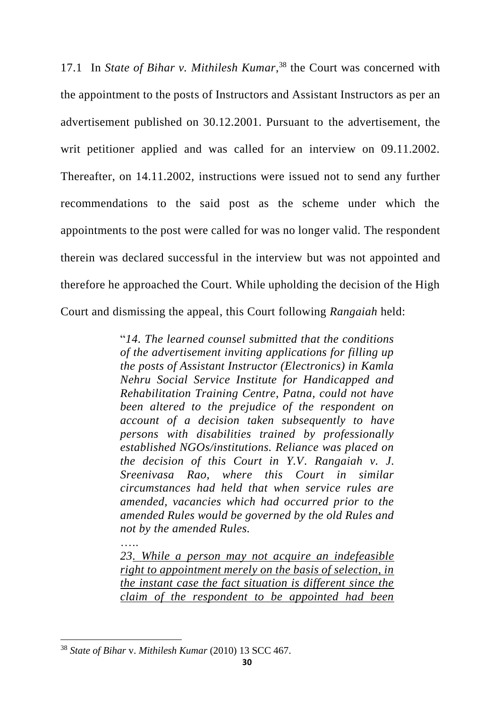17.1 In *State of Bihar v. Mithilesh Kumar*, <sup>38</sup> the Court was concerned with the appointment to the posts of Instructors and Assistant Instructors as per an advertisement published on 30.12.2001. Pursuant to the advertisement, the writ petitioner applied and was called for an interview on 09.11.2002. Thereafter, on 14.11.2002, instructions were issued not to send any further recommendations to the said post as the scheme under which the appointments to the post were called for was no longer valid. The respondent therein was declared successful in the interview but was not appointed and therefore he approached the Court. While upholding the decision of the High Court and dismissing the appeal, this Court following *Rangaiah* held:

> "*14. The learned counsel submitted that the conditions of the advertisement inviting applications for filling up the posts of Assistant Instructor (Electronics) in Kamla Nehru Social Service Institute for Handicapped and Rehabilitation Training Centre, Patna, could not have been altered to the prejudice of the respondent on account of a decision taken subsequently to have persons with disabilities trained by professionally established NGOs/institutions. Reliance was placed on the decision of this Court in Y.V. Rangaiah v. J. Sreenivasa Rao, where this Court in similar circumstances had held that when service rules are amended, vacancies which had occurred prior to the amended Rules would be governed by the old Rules and not by the amended Rules.*

> *23. While a person may not acquire an indefeasible right to appointment merely on the basis of selection, in the instant case the fact situation is different since the claim of the respondent to be appointed had been*

 $\mathbf{L}$ 

<sup>38</sup> *State of Bihar* v. *Mithilesh Kumar* (2010) 13 SCC 467.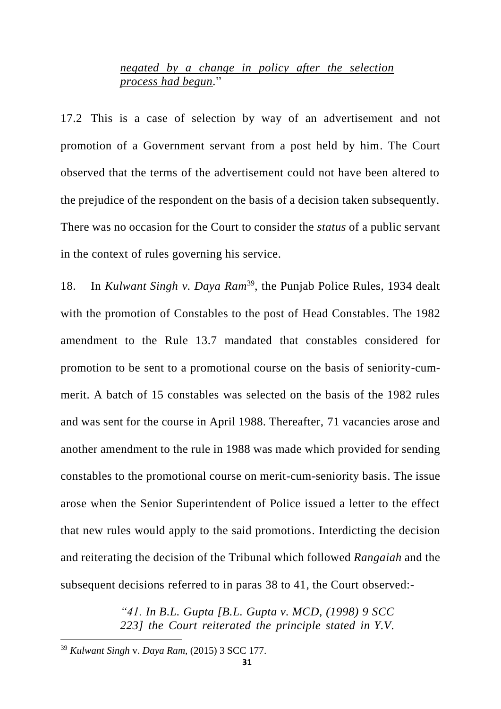### *negated by a change in policy after the selection process had begun.*"

17.2 This is a case of selection by way of an advertisement and not promotion of a Government servant from a post held by him. The Court observed that the terms of the advertisement could not have been altered to the prejudice of the respondent on the basis of a decision taken subsequently. There was no occasion for the Court to consider the *status* of a public servant in the context of rules governing his service.

18. In *Kulwant Singh v. Daya Ram*<sup>39</sup> , the Punjab Police Rules, 1934 dealt with the promotion of Constables to the post of Head Constables. The 1982 amendment to the Rule 13.7 mandated that constables considered for promotion to be sent to a promotional course on the basis of seniority-cummerit. A batch of 15 constables was selected on the basis of the 1982 rules and was sent for the course in April 1988. Thereafter, 71 vacancies arose and another amendment to the rule in 1988 was made which provided for sending constables to the promotional course on merit-cum-seniority basis. The issue arose when the Senior Superintendent of Police issued a letter to the effect that new rules would apply to the said promotions. Interdicting the decision and reiterating the decision of the Tribunal which followed *Rangaiah* and the subsequent decisions referred to in paras 38 to 41, the Court observed:-

> *"41. In B.L. Gupta [B.L. Gupta v. MCD, (1998) 9 SCC 223] the Court reiterated the principle stated in Y.V.*

<sup>39</sup> *Kulwant Singh* v. *Daya Ram*, (2015) 3 SCC 177.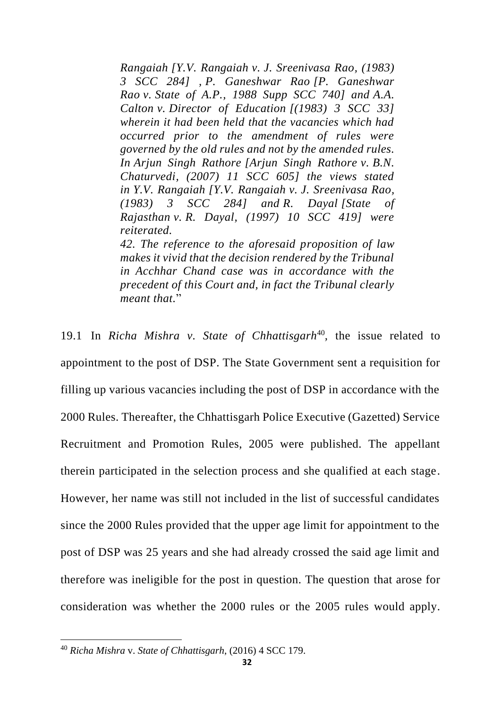*Rangaiah [Y.V. Rangaiah v. J. Sreenivasa Rao, (1983) 3 SCC 284] , P. Ganeshwar Rao [P. Ganeshwar Rao v. State of A.P., 1988 Supp SCC 740] and A.A. Calton v. Director of Education [(1983) 3 SCC 33] wherein it had been held that the vacancies which had occurred prior to the amendment of rules were governed by the old rules and not by the amended rules. In Arjun Singh Rathore [Arjun Singh Rathore v. B.N. Chaturvedi, (2007) 11 SCC 605] the views stated in Y.V. Rangaiah [Y.V. Rangaiah v. J. Sreenivasa Rao, (1983) 3 SCC 284] and R. Dayal [State of Rajasthan v. R. Dayal, (1997) 10 SCC 419] were reiterated.*

*42. The reference to the aforesaid proposition of law makes it vivid that the decision rendered by the Tribunal in Acchhar Chand case was in accordance with the precedent of this Court and, in fact the Tribunal clearly meant that.*"

19.1 In *Richa Mishra v. State of Chhattisgarh<sup>40</sup>, the issue related to* appointment to the post of DSP. The State Government sent a requisition for filling up various vacancies including the post of DSP in accordance with the 2000 Rules. Thereafter, the Chhattisgarh Police Executive (Gazetted) Service Recruitment and Promotion Rules, 2005 were published. The appellant therein participated in the selection process and she qualified at each stage. However, her name was still not included in the list of successful candidates since the 2000 Rules provided that the upper age limit for appointment to the post of DSP was 25 years and she had already crossed the said age limit and therefore was ineligible for the post in question. The question that arose for consideration was whether the 2000 rules or the 2005 rules would apply.

<sup>40</sup> *Richa Mishra* v. *State of Chhattisgarh*, (2016) 4 SCC 179.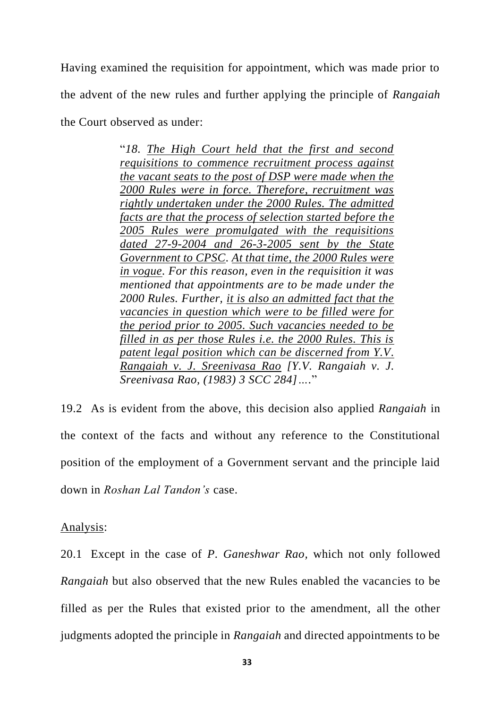Having examined the requisition for appointment, which was made prior to the advent of the new rules and further applying the principle of *Rangaiah*  the Court observed as under:

> "*18. The High Court held that the first and second requisitions to commence recruitment process against the vacant seats to the post of DSP were made when the 2000 Rules were in force. Therefore, recruitment was rightly undertaken under the 2000 Rules. The admitted facts are that the process of selection started before the 2005 Rules were promulgated with the requisitions dated 27-9-2004 and 26-3-2005 sent by the State Government to CPSC. At that time, the 2000 Rules were in vogue. For this reason, even in the requisition it was mentioned that appointments are to be made under the 2000 Rules. Further, it is also an admitted fact that the vacancies in question which were to be filled were for the period prior to 2005. Such vacancies needed to be filled in as per those Rules i.e. the 2000 Rules. This is patent legal position which can be discerned from Y.V. Rangaiah v. J. Sreenivasa Rao [Y.V. Rangaiah v. J. Sreenivasa Rao, (1983) 3 SCC 284]….*"

19.2 As is evident from the above, this decision also applied *Rangaiah* in the context of the facts and without any reference to the Constitutional position of the employment of a Government servant and the principle laid down in *Roshan Lal Tandon's* case.

Analysis:

20.1 Except in the case of *P. Ganeshwar Rao,* which not only followed *Rangaiah* but also observed that the new Rules enabled the vacancies to be filled as per the Rules that existed prior to the amendment, all the other judgments adopted the principle in *Rangaiah* and directed appointments to be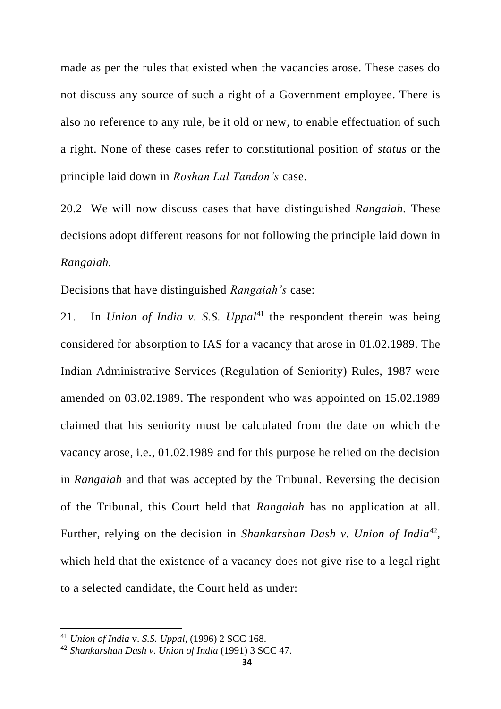made as per the rules that existed when the vacancies arose. These cases do not discuss any source of such a right of a Government employee. There is also no reference to any rule, be it old or new, to enable effectuation of such a right. None of these cases refer to constitutional position of *status* or the principle laid down in *Roshan Lal Tandon's* case.

20.2 We will now discuss cases that have distinguished *Rangaiah.* These decisions adopt different reasons for not following the principle laid down in *Rangaiah.*

### Decisions that have distinguished *Rangaiah's* case:

21. In *Union of India v. S.S. Uppal*<sup>41</sup> the respondent therein was being considered for absorption to IAS for a vacancy that arose in 01.02.1989. The Indian Administrative Services (Regulation of Seniority) Rules, 1987 were amended on 03.02.1989. The respondent who was appointed on 15.02.1989 claimed that his seniority must be calculated from the date on which the vacancy arose, i.e., 01.02.1989 and for this purpose he relied on the decision in *Rangaiah* and that was accepted by the Tribunal. Reversing the decision of the Tribunal, this Court held that *Rangaiah* has no application at all. Further, relying on the decision in *Shankarshan Dash v. Union of India*<sup>42</sup>, which held that the existence of a vacancy does not give rise to a legal right to a selected candidate, the Court held as under:

<sup>41</sup> *Union of India* v. *S.S. Uppal*, (1996) 2 SCC 168.

<sup>42</sup> *Shankarshan Dash v. Union of India* (1991) 3 SCC 47.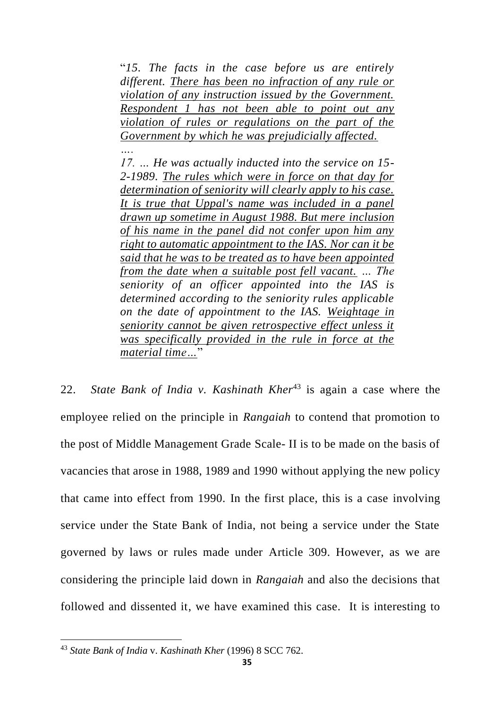"*15. The facts in the case before us are entirely different. There has been no infraction of any rule or violation of any instruction issued by the Government. Respondent 1 has not been able to point out any violation of rules or regulations on the part of the Government by which he was prejudicially affected.*

*17. … He was actually inducted into the service on 15- 2-1989. The rules which were in force on that day for determination of seniority will clearly apply to his case. It is true that Uppal's name was included in a panel drawn up sometime in August 1988. But mere inclusion of his name in the panel did not confer upon him any right to automatic appointment to the IAS. Nor can it be said that he was to be treated as to have been appointed from the date when a suitable post fell vacant. … The seniority of an officer appointed into the IAS is determined according to the seniority rules applicable on the date of appointment to the IAS. Weightage in seniority cannot be given retrospective effect unless it was specifically provided in the rule in force at the material time…*"

22. *State Bank of India v. Kashinath Kher*<sup>43</sup> is again a case where the employee relied on the principle in *Rangaiah* to contend that promotion to the post of Middle Management Grade Scale- II is to be made on the basis of vacancies that arose in 1988, 1989 and 1990 without applying the new policy that came into effect from 1990. In the first place, this is a case involving service under the State Bank of India, not being a service under the State governed by laws or rules made under Article 309. However, as we are considering the principle laid down in *Rangaiah* and also the decisions that followed and dissented it, we have examined this case. It is interesting to

<sup>43</sup> *State Bank of India* v. *Kashinath Kher* (1996) 8 SCC 762.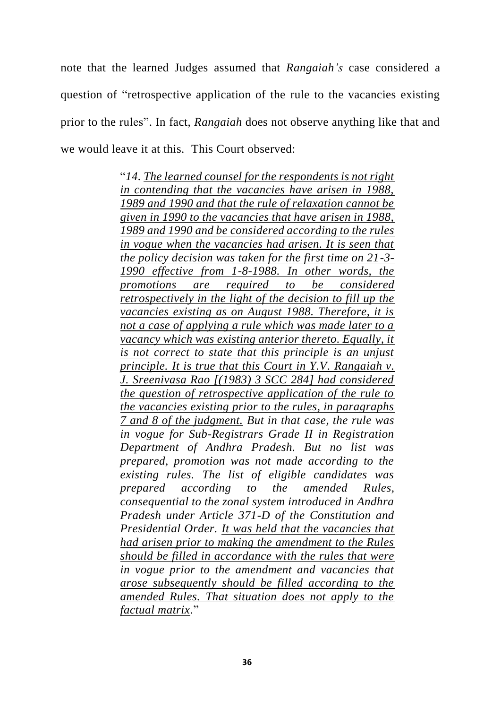note that the learned Judges assumed that *Rangaiah's* case considered a question of "retrospective application of the rule to the vacancies existing prior to the rules". In fact, *Rangaiah* does not observe anything like that and we would leave it at this. This Court observed:

> "*14. The learned counsel for the respondents is not right in contending that the vacancies have arisen in 1988, 1989 and 1990 and that the rule of relaxation cannot be given in 1990 to the vacancies that have arisen in 1988, 1989 and 1990 and be considered according to the rules in vogue when the vacancies had arisen. It is seen that the policy decision was taken for the first time on 21-3- 1990 effective from 1-8-1988. In other words, the promotions are required to be considered retrospectively in the light of the decision to fill up the vacancies existing as on August 1988. Therefore, it is not a case of applying a rule which was made later to a vacancy which was existing anterior thereto. Equally, it is not correct to state that this principle is an unjust principle. It is true that this Court in Y.V. Rangaiah v. J. Sreenivasa Rao [(1983) 3 SCC 284] had considered the question of retrospective application of the rule to the vacancies existing prior to the rules, in paragraphs 7 and 8 of the judgment. But in that case, the rule was in vogue for Sub-Registrars Grade II in Registration Department of Andhra Pradesh. But no list was prepared, promotion was not made according to the existing rules. The list of eligible candidates was prepared according to the amended Rules, consequential to the zonal system introduced in Andhra Pradesh under Article 371-D of the Constitution and Presidential Order. It was held that the vacancies that had arisen prior to making the amendment to the Rules should be filled in accordance with the rules that were in vogue prior to the amendment and vacancies that arose subsequently should be filled according to the amended Rules. That situation does not apply to the factual matrix.*"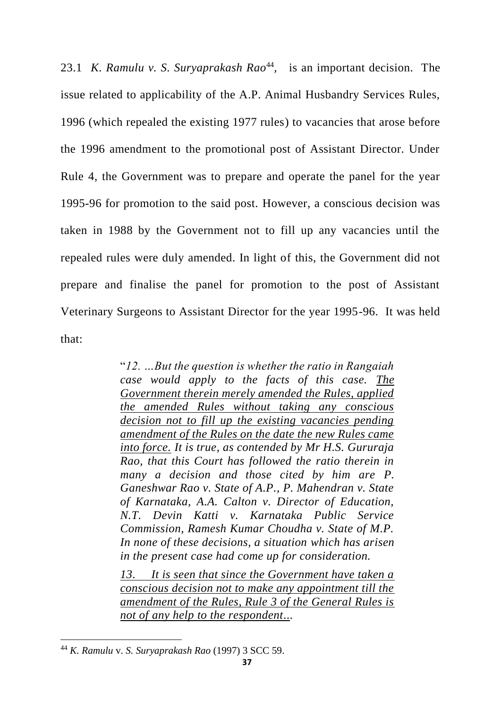23.1 K. Ramulu v. S. Suryaprakash Rao<sup>44</sup>, is an important decision. The issue related to applicability of the A.P. Animal Husbandry Services Rules, 1996 (which repealed the existing 1977 rules) to vacancies that arose before the 1996 amendment to the promotional post of Assistant Director. Under Rule 4, the Government was to prepare and operate the panel for the year 1995-96 for promotion to the said post. However, a conscious decision was taken in 1988 by the Government not to fill up any vacancies until the repealed rules were duly amended. In light of this, the Government did not prepare and finalise the panel for promotion to the post of Assistant Veterinary Surgeons to Assistant Director for the year 1995-96. It was held that:

> "*12. …But the question is whether the ratio in Rangaiah case would apply to the facts of this case. The Government therein merely amended the Rules, applied the amended Rules without taking any conscious decision not to fill up the existing vacancies pending amendment of the Rules on the date the new Rules came into force. It is true, as contended by Mr H.S. Gururaja Rao, that this Court has followed the ratio therein in many a decision and those cited by him are P. Ganeshwar Rao v. State of A.P., P. Mahendran v. State of Karnataka, A.A. Calton v. Director of Education, N.T. Devin Katti v. Karnataka Public Service Commission, Ramesh Kumar Choudha v. State of M.P. In none of these decisions, a situation which has arisen in the present case had come up for consideration.*

> *13. It is seen that since the Government have taken a conscious decision not to make any appointment till the amendment of the Rules, Rule 3 of the General Rules is not of any help to the respondent...*

<sup>44</sup> *K. Ramulu* v. *S. Suryaprakash Rao* (1997) 3 SCC 59.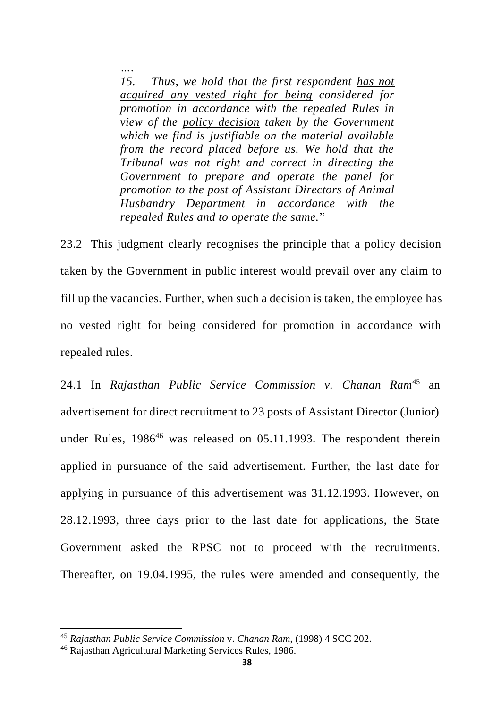*…. 15. Thus, we hold that the first respondent has not acquired any vested right for being considered for promotion in accordance with the repealed Rules in view of the policy decision taken by the Government which we find is justifiable on the material available from the record placed before us. We hold that the Tribunal was not right and correct in directing the Government to prepare and operate the panel for promotion to the post of Assistant Directors of Animal Husbandry Department in accordance with the repealed Rules and to operate the same.*"

23.2 This judgment clearly recognises the principle that a policy decision taken by the Government in public interest would prevail over any claim to fill up the vacancies. Further, when such a decision is taken, the employee has no vested right for being considered for promotion in accordance with repealed rules.

24.1 In *Rajasthan Public Service Commission v. Chanan Ram*<sup>45</sup> an advertisement for direct recruitment to 23 posts of Assistant Director (Junior) under Rules,  $1986^{46}$  was released on 05.11.1993. The respondent therein applied in pursuance of the said advertisement. Further, the last date for applying in pursuance of this advertisement was 31.12.1993. However, on 28.12.1993, three days prior to the last date for applications, the State Government asked the RPSC not to proceed with the recruitments. Thereafter, on 19.04.1995, the rules were amended and consequently, the

<sup>45</sup> *Rajasthan Public Service Commission* v. *Chanan Ram*, (1998) 4 SCC 202.

<sup>46</sup> Rajasthan Agricultural Marketing Services Rules, 1986.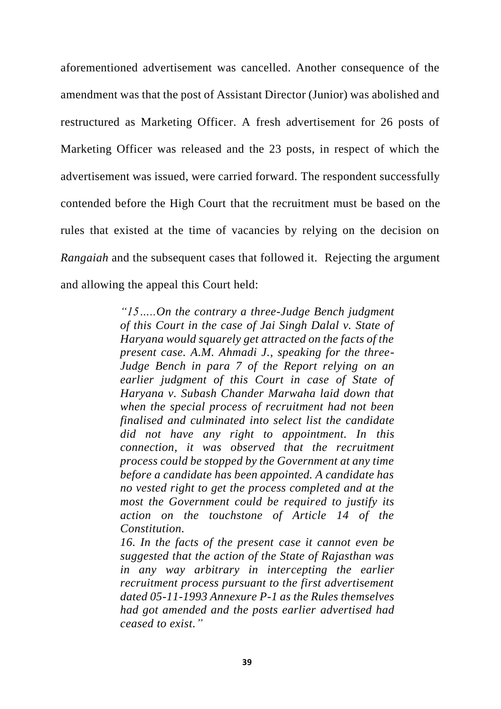aforementioned advertisement was cancelled. Another consequence of the amendment was that the post of Assistant Director (Junior) was abolished and restructured as Marketing Officer. A fresh advertisement for 26 posts of Marketing Officer was released and the 23 posts, in respect of which the advertisement was issued, were carried forward. The respondent successfully contended before the High Court that the recruitment must be based on the rules that existed at the time of vacancies by relying on the decision on *Rangaiah* and the subsequent cases that followed it. Rejecting the argument and allowing the appeal this Court held:

> *"15…..On the contrary a three-Judge Bench judgment of this Court in the case of Jai Singh Dalal v. State of Haryana would squarely get attracted on the facts of the present case. A.M. Ahmadi J., speaking for the three-Judge Bench in para 7 of the Report relying on an earlier judgment of this Court in case of State of Haryana v. Subash Chander Marwaha laid down that when the special process of recruitment had not been finalised and culminated into select list the candidate did not have any right to appointment. In this connection, it was observed that the recruitment process could be stopped by the Government at any time before a candidate has been appointed. A candidate has no vested right to get the process completed and at the most the Government could be required to justify its action on the touchstone of Article 14 of the Constitution.*

> *16. In the facts of the present case it cannot even be suggested that the action of the State of Rajasthan was in any way arbitrary in intercepting the earlier recruitment process pursuant to the first advertisement dated 05-11-1993 Annexure P-1 as the Rules themselves had got amended and the posts earlier advertised had ceased to exist."*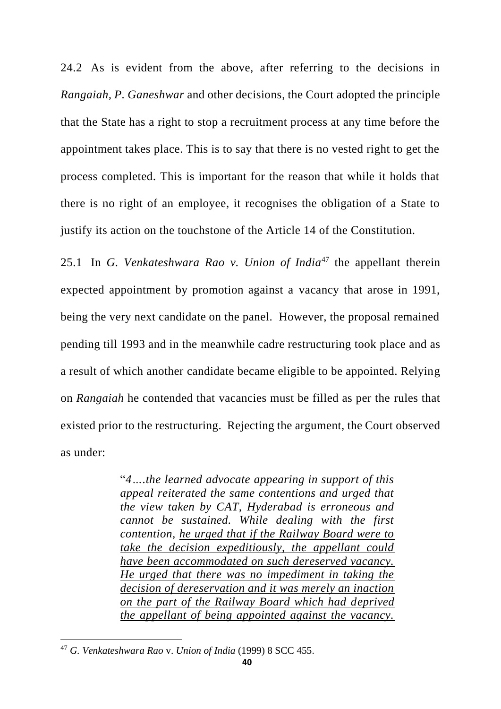24.2 As is evident from the above, after referring to the decisions in *Rangaiah, P. Ganeshwar* and other decisions, the Court adopted the principle that the State has a right to stop a recruitment process at any time before the appointment takes place. This is to say that there is no vested right to get the process completed. This is important for the reason that while it holds that there is no right of an employee, it recognises the obligation of a State to justify its action on the touchstone of the Article 14 of the Constitution.

25.1 In *G. Venkateshwara Rao v. Union of India*<sup>47</sup> the appellant therein expected appointment by promotion against a vacancy that arose in 1991, being the very next candidate on the panel. However, the proposal remained pending till 1993 and in the meanwhile cadre restructuring took place and as a result of which another candidate became eligible to be appointed. Relying on *Rangaiah* he contended that vacancies must be filled as per the rules that existed prior to the restructuring. Rejecting the argument, the Court observed as under:

> "*4….the learned advocate appearing in support of this appeal reiterated the same contentions and urged that the view taken by CAT, Hyderabad is erroneous and cannot be sustained. While dealing with the first contention, he urged that if the Railway Board were to take the decision expeditiously, the appellant could have been accommodated on such dereserved vacancy. He urged that there was no impediment in taking the decision of dereservation and it was merely an inaction on the part of the Railway Board which had deprived the appellant of being appointed against the vacancy.*

<sup>47</sup> *G. Venkateshwara Rao* v. *Union of India* (1999) 8 SCC 455.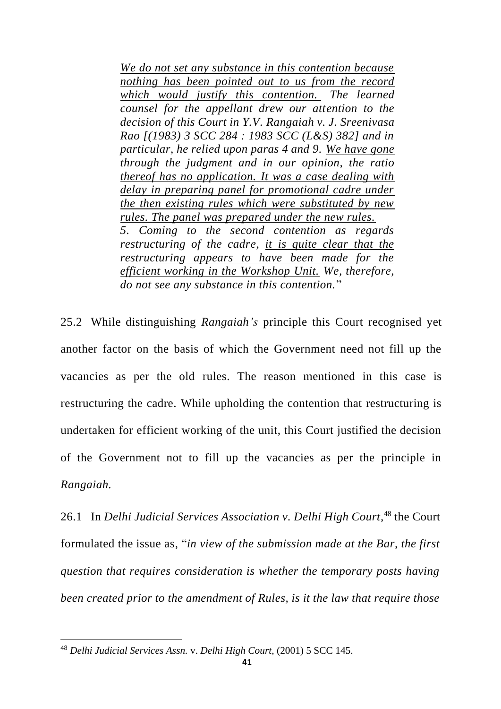*We do not set any substance in this contention because nothing has been pointed out to us from the record which would justify this contention. The learned counsel for the appellant drew our attention to the decision of this Court in Y.V. Rangaiah v. J. Sreenivasa Rao [(1983) 3 SCC 284 : 1983 SCC (L&S) 382] and in particular, he relied upon paras 4 and 9. We have gone through the judgment and in our opinion, the ratio thereof has no application. It was a case dealing with delay in preparing panel for promotional cadre under the then existing rules which were substituted by new rules. The panel was prepared under the new rules. 5. Coming to the second contention as regards restructuring of the cadre, it is quite clear that the restructuring appears to have been made for the efficient working in the Workshop Unit. We, therefore, do not see any substance in this contention.*"

25.2 While distinguishing *Rangaiah's* principle this Court recognised yet another factor on the basis of which the Government need not fill up the vacancies as per the old rules. The reason mentioned in this case is restructuring the cadre. While upholding the contention that restructuring is undertaken for efficient working of the unit, this Court justified the decision of the Government not to fill up the vacancies as per the principle in *Rangaiah.*

26.1 In *Delhi Judicial Services Association v. Delhi High Court,* <sup>48</sup> the Court formulated the issue as, "*in view of the submission made at the Bar, the first question that requires consideration is whether the temporary posts having been created prior to the amendment of Rules, is it the law that require those* 

<sup>48</sup> *Delhi Judicial Services Assn.* v. *Delhi High Court*, (2001) 5 SCC 145.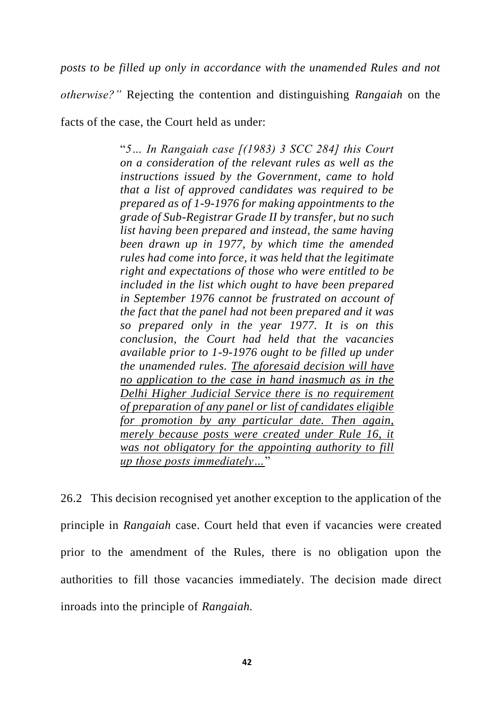*posts to be filled up only in accordance with the unamended Rules and not* 

*otherwise?"* Rejecting the contention and distinguishing *Rangaiah* on the facts of the case, the Court held as under:

> "*5… In Rangaiah case [(1983) 3 SCC 284] this Court on a consideration of the relevant rules as well as the instructions issued by the Government, came to hold that a list of approved candidates was required to be prepared as of 1-9-1976 for making appointments to the grade of Sub-Registrar Grade II by transfer, but no such list having been prepared and instead, the same having been drawn up in 1977, by which time the amended rules had come into force, it was held that the legitimate right and expectations of those who were entitled to be included in the list which ought to have been prepared in September 1976 cannot be frustrated on account of the fact that the panel had not been prepared and it was so prepared only in the year 1977. It is on this conclusion, the Court had held that the vacancies available prior to 1-9-1976 ought to be filled up under the unamended rules. The aforesaid decision will have no application to the case in hand inasmuch as in the Delhi Higher Judicial Service there is no requirement of preparation of any panel or list of candidates eligible for promotion by any particular date. Then again, merely because posts were created under Rule 16, it was not obligatory for the appointing authority to fill up those posts immediately…*"

26.2 This decision recognised yet another exception to the application of the principle in *Rangaiah* case. Court held that even if vacancies were created prior to the amendment of the Rules, there is no obligation upon the authorities to fill those vacancies immediately. The decision made direct inroads into the principle of *Rangaiah.*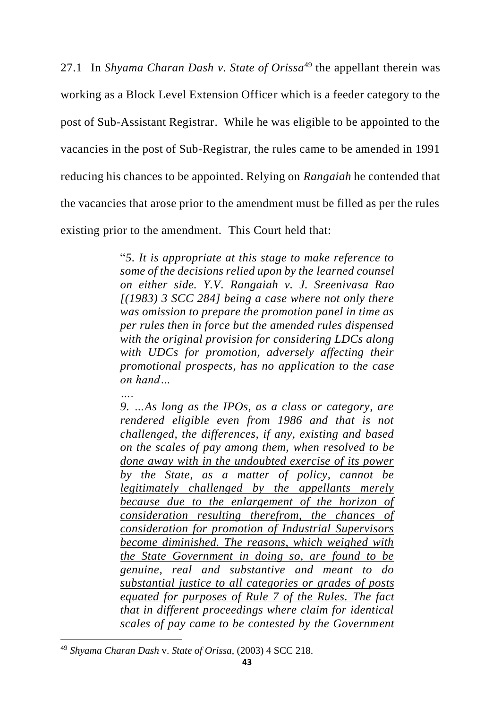27.1 In *Shyama Charan Dash v. State of Orissa*<sup>49</sup> the appellant therein was working as a Block Level Extension Officer which is a feeder category to the post of Sub-Assistant Registrar. While he was eligible to be appointed to the vacancies in the post of Sub-Registrar, the rules came to be amended in 1991 reducing his chances to be appointed. Relying on *Rangaiah* he contended that the vacancies that arose prior to the amendment must be filled as per the rules existing prior to the amendment. This Court held that:

> "*5. It is appropriate at this stage to make reference to some of the decisions relied upon by the learned counsel on either side. Y.V. Rangaiah v. J. Sreenivasa Rao [(1983) 3 SCC 284] being a case where not only there was omission to prepare the promotion panel in time as per rules then in force but the amended rules dispensed with the original provision for considering LDCs along with UDCs for promotion, adversely affecting their promotional prospects, has no application to the case on hand…*

> *9. …As long as the IPOs, as a class or category, are rendered eligible even from 1986 and that is not challenged, the differences, if any, existing and based on the scales of pay among them, when resolved to be done away with in the undoubted exercise of its power by the State, as a matter of policy, cannot be legitimately challenged by the appellants merely because due to the enlargement of the horizon of consideration resulting therefrom, the chances of consideration for promotion of Industrial Supervisors become diminished. The reasons, which weighed with the State Government in doing so, are found to be genuine, real and substantive and meant to do substantial justice to all categories or grades of posts equated for purposes of Rule 7 of the Rules. The fact that in different proceedings where claim for identical scales of pay came to be contested by the Government*

*….*

<sup>49</sup> *Shyama Charan Dash* v. *State of Orissa*, (2003) 4 SCC 218.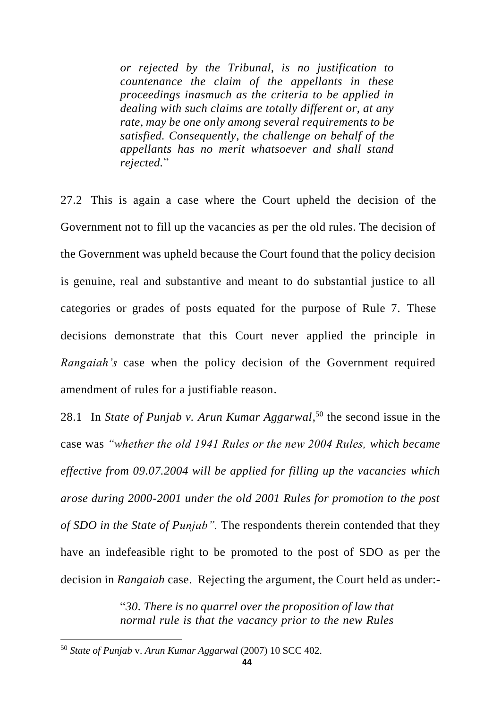*or rejected by the Tribunal, is no justification to countenance the claim of the appellants in these proceedings inasmuch as the criteria to be applied in dealing with such claims are totally different or, at any rate, may be one only among several requirements to be satisfied. Consequently, the challenge on behalf of the appellants has no merit whatsoever and shall stand rejected.*"

27.2 This is again a case where the Court upheld the decision of the Government not to fill up the vacancies as per the old rules. The decision of the Government was upheld because the Court found that the policy decision is genuine, real and substantive and meant to do substantial justice to all categories or grades of posts equated for the purpose of Rule 7. These decisions demonstrate that this Court never applied the principle in *Rangaiah's* case when the policy decision of the Government required amendment of rules for a justifiable reason.

28.1 In *State of Punjab v. Arun Kumar Aggarwal*, <sup>50</sup> the second issue in the case was *"whether the old 1941 Rules or the new 2004 Rules, which became effective from 09.07.2004 will be applied for filling up the vacancies which arose during 2000-2001 under the old 2001 Rules for promotion to the post of SDO in the State of Punjab".* The respondents therein contended that they have an indefeasible right to be promoted to the post of SDO as per the decision in *Rangaiah* case. Rejecting the argument, the Court held as under:-

> "*30. There is no quarrel over the proposition of law that normal rule is that the vacancy prior to the new Rules*

<sup>50</sup> *State of Punjab* v. *Arun Kumar Aggarwal* (2007) 10 SCC 402.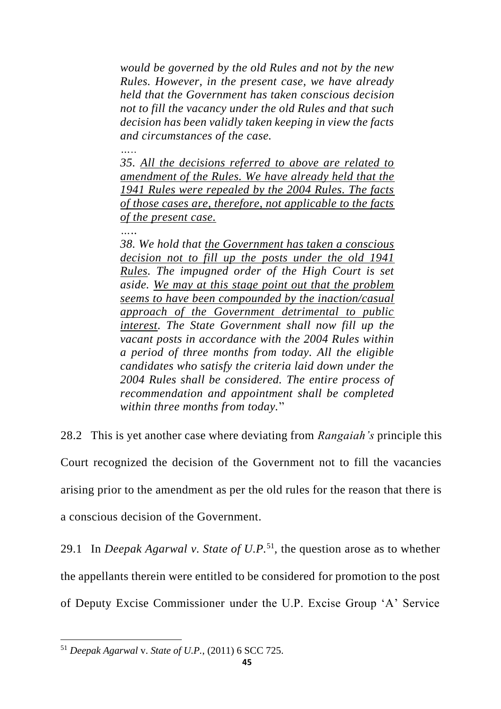*would be governed by the old Rules and not by the new Rules. However, in the present case, we have already held that the Government has taken conscious decision not to fill the vacancy under the old Rules and that such decision has been validly taken keeping in view the facts and circumstances of the case.*

*35. All the decisions referred to above are related to amendment of the Rules. We have already held that the 1941 Rules were repealed by the 2004 Rules. The facts of those cases are, therefore, not applicable to the facts of the present case.*

*…..*

*…..*

*38. We hold that the Government has taken a conscious decision not to fill up the posts under the old 1941 Rules. The impugned order of the High Court is set aside. We may at this stage point out that the problem seems to have been compounded by the inaction/casual approach of the Government detrimental to public interest. The State Government shall now fill up the vacant posts in accordance with the 2004 Rules within a period of three months from today. All the eligible candidates who satisfy the criteria laid down under the 2004 Rules shall be considered. The entire process of recommendation and appointment shall be completed within three months from today.*"

28.2 This is yet another case where deviating from *Rangaiah's* principle this Court recognized the decision of the Government not to fill the vacancies arising prior to the amendment as per the old rules for the reason that there is a conscious decision of the Government.

29.1 In *Deepak Agarwal v. State of U.P.*<sup>51</sup> *,* the question arose as to whether the appellants therein were entitled to be considered for promotion to the post of Deputy Excise Commissioner under the U.P. Excise Group 'A' Service

<sup>51</sup> *Deepak Agarwal* v. *State of U.P.*, (2011) 6 SCC 725.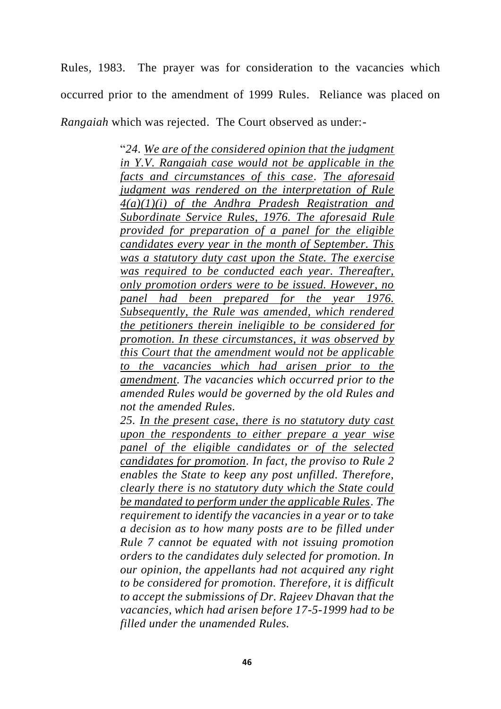Rules, 1983. The prayer was for consideration to the vacancies which occurred prior to the amendment of 1999 Rules. Reliance was placed on *Rangaiah* which was rejected. The Court observed as under:-

> "*24. We are of the considered opinion that the judgment in Y.V. Rangaiah case would not be applicable in the facts and circumstances of this case. The aforesaid judgment was rendered on the interpretation of Rule 4(a)(1)(i) of the Andhra Pradesh Registration and Subordinate Service Rules, 1976. The aforesaid Rule provided for preparation of a panel for the eligible candidates every year in the month of September. This was a statutory duty cast upon the State. The exercise was required to be conducted each year. Thereafter, only promotion orders were to be issued. However, no panel had been prepared for the year 1976. Subsequently, the Rule was amended, which rendered the petitioners therein ineligible to be considered for promotion. In these circumstances, it was observed by this Court that the amendment would not be applicable to the vacancies which had arisen prior to the amendment. The vacancies which occurred prior to the amended Rules would be governed by the old Rules and not the amended Rules.*

> *25. In the present case, there is no statutory duty cast upon the respondents to either prepare a year wise panel of the eligible candidates or of the selected candidates for promotion. In fact, the proviso to Rule 2 enables the State to keep any post unfilled. Therefore, clearly there is no statutory duty which the State could be mandated to perform under the applicable Rules. The requirement to identify the vacancies in a year or to take a decision as to how many posts are to be filled under Rule 7 cannot be equated with not issuing promotion orders to the candidates duly selected for promotion. In our opinion, the appellants had not acquired any right to be considered for promotion. Therefore, it is difficult to accept the submissions of Dr. Rajeev Dhavan that the vacancies, which had arisen before 17-5-1999 had to be filled under the unamended Rules.*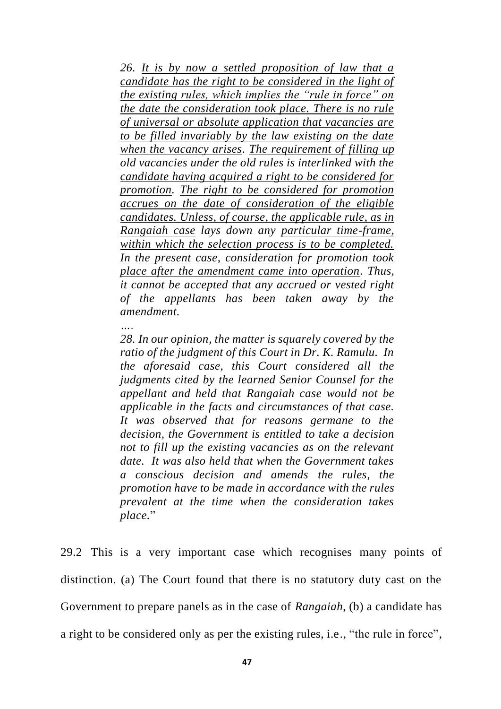*26. It is by now a settled proposition of law that a candidate has the right to be considered in the light of the existing rules, which implies the "rule in force" on the date the consideration took place. There is no rule of universal or absolute application that vacancies are to be filled invariably by the law existing on the date when the vacancy arises. The requirement of filling up old vacancies under the old rules is interlinked with the candidate having acquired a right to be considered for promotion. The right to be considered for promotion accrues on the date of consideration of the eligible candidates. Unless, of course, the applicable rule, as in Rangaiah case lays down any particular time-frame, within which the selection process is to be completed. In the present case, consideration for promotion took place after the amendment came into operation. Thus, it cannot be accepted that any accrued or vested right of the appellants has been taken away by the amendment.*

## *….*

*28. In our opinion, the matter is squarely covered by the ratio of the judgment of this Court in Dr. K. Ramulu. In the aforesaid case, this Court considered all the judgments cited by the learned Senior Counsel for the appellant and held that Rangaiah case would not be applicable in the facts and circumstances of that case. It was observed that for reasons germane to the decision, the Government is entitled to take a decision not to fill up the existing vacancies as on the relevant date. It was also held that when the Government takes a conscious decision and amends the rules, the promotion have to be made in accordance with the rules prevalent at the time when the consideration takes place.*"

29.2 This is a very important case which recognises many points of distinction. (a) The Court found that there is no statutory duty cast on the Government to prepare panels as in the case of *Rangaiah*, (b) a candidate has a right to be considered only as per the existing rules, i.e., "the rule in force",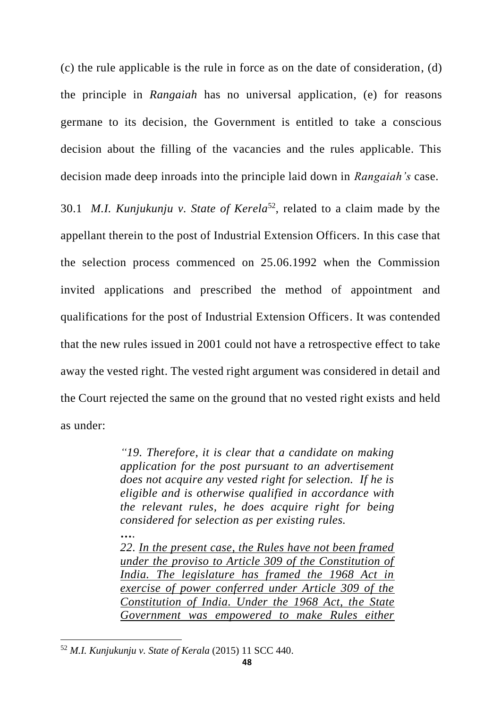(c) the rule applicable is the rule in force as on the date of consideration, (d) the principle in *Rangaiah* has no universal application, (e) for reasons germane to its decision, the Government is entitled to take a conscious decision about the filling of the vacancies and the rules applicable. This decision made deep inroads into the principle laid down in *Rangaiah's* case.

30.1 *M.I. Kunjukunju v. State of Kerela*<sup>52</sup> , related to a claim made by the appellant therein to the post of Industrial Extension Officers. In this case that the selection process commenced on 25.06.1992 when the Commission invited applications and prescribed the method of appointment and qualifications for the post of Industrial Extension Officers. It was contended that the new rules issued in 2001 could not have a retrospective effect to take away the vested right. The vested right argument was considered in detail and the Court rejected the same on the ground that no vested right exists and held as under:

> *"19. Therefore, it is clear that a candidate on making application for the post pursuant to an advertisement does not acquire any vested right for selection. If he is eligible and is otherwise qualified in accordance with the relevant rules, he does acquire right for being considered for selection as per existing rules.*

> *22. In the present case, the Rules have not been framed under the proviso to Article 309 of the Constitution of India. The legislature has framed the 1968 Act in exercise of power conferred under Article 309 of the Constitution of India. Under the 1968 Act, the State Government was empowered to make Rules either*

*….*

<sup>52</sup> *M.I. Kunjukunju v. State of Kerala* (2015) 11 SCC 440.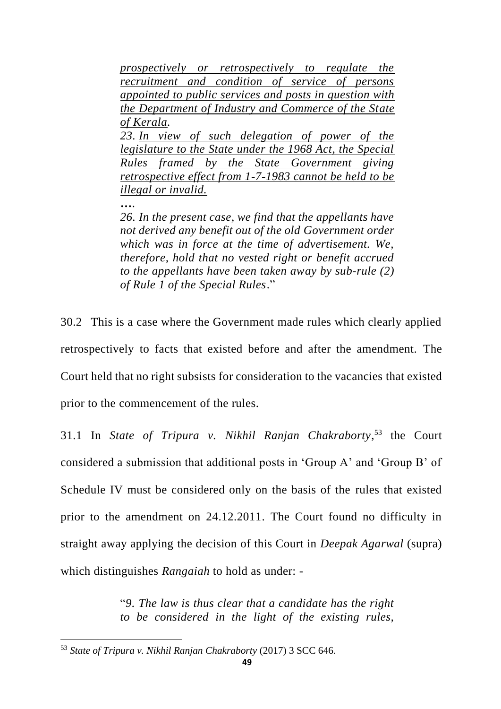*prospectively or retrospectively to regulate the recruitment and condition of service of persons appointed to public services and posts in question with the Department of Industry and Commerce of the State of Kerala. 23. In view of such delegation of power of the legislature to the State under the 1968 Act, the Special Rules framed by the State Government giving retrospective effect from 1-7-1983 cannot be held to be* 

*illegal or invalid.*

*….*

*26. In the present case, we find that the appellants have not derived any benefit out of the old Government order which was in force at the time of advertisement. We, therefore, hold that no vested right or benefit accrued to the appellants have been taken away by sub-rule (2) of Rule 1 of the Special Rules*."

30.2 This is a case where the Government made rules which clearly applied retrospectively to facts that existed before and after the amendment. The Court held that no right subsists for consideration to the vacancies that existed prior to the commencement of the rules.

31.1 In *State of Tripura v. Nikhil Ranjan Chakraborty*, <sup>53</sup> the Court considered a submission that additional posts in 'Group A' and 'Group B' of Schedule IV must be considered only on the basis of the rules that existed prior to the amendment on 24.12.2011. The Court found no difficulty in straight away applying the decision of this Court in *Deepak Agarwal* (supra) which distinguishes *Rangaiah* to hold as under: -

> "*9. The law is thus clear that a candidate has the right to be considered in the light of the existing rules,*

<sup>53</sup> *State of Tripura v. Nikhil Ranjan Chakraborty* (2017) 3 SCC 646.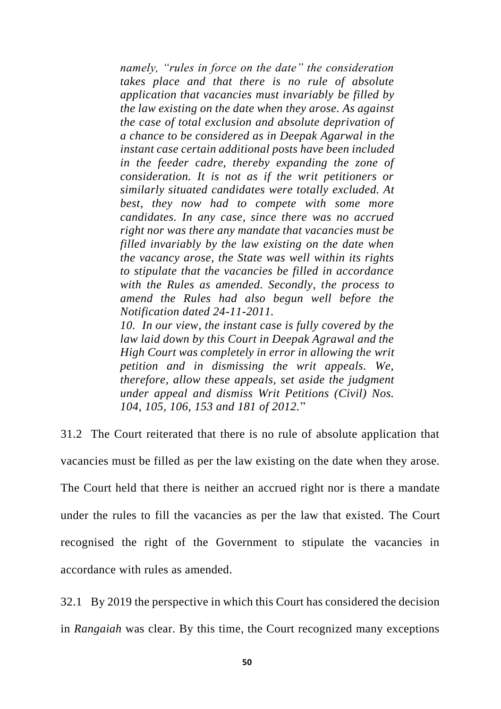*namely, "rules in force on the date" the consideration takes place and that there is no rule of absolute application that vacancies must invariably be filled by the law existing on the date when they arose. As against the case of total exclusion and absolute deprivation of a chance to be considered as in Deepak Agarwal in the instant case certain additional posts have been included in the feeder cadre, thereby expanding the zone of consideration. It is not as if the writ petitioners or similarly situated candidates were totally excluded. At best, they now had to compete with some more candidates. In any case, since there was no accrued right nor was there any mandate that vacancies must be filled invariably by the law existing on the date when the vacancy arose, the State was well within its rights to stipulate that the vacancies be filled in accordance with the Rules as amended. Secondly, the process to amend the Rules had also begun well before the Notification dated 24-11-2011.*

*10. In our view, the instant case is fully covered by the law laid down by this Court in Deepak Agrawal and the High Court was completely in error in allowing the writ petition and in dismissing the writ appeals. We, therefore, allow these appeals, set aside the judgment under appeal and dismiss Writ Petitions (Civil) Nos. 104, 105, 106, 153 and 181 of 2012.*"

31.2 The Court reiterated that there is no rule of absolute application that vacancies must be filled as per the law existing on the date when they arose. The Court held that there is neither an accrued right nor is there a mandate under the rules to fill the vacancies as per the law that existed. The Court recognised the right of the Government to stipulate the vacancies in accordance with rules as amended.

32.1 By 2019 the perspective in which this Court has considered the decision in *Rangaiah* was clear. By this time, the Court recognized many exceptions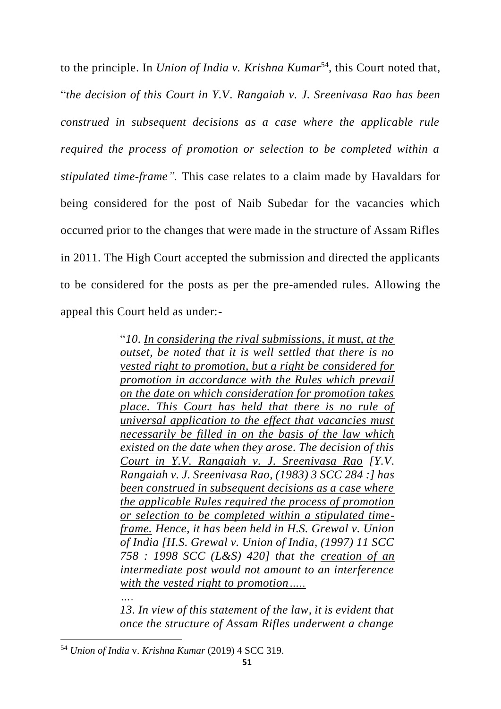to the principle. In *Union of India v. Krishna Kumar*<sup>54</sup> , this Court noted that, "*the decision of this Court in Y.V. Rangaiah v. J. Sreenivasa Rao has been construed in subsequent decisions as a case where the applicable rule required the process of promotion or selection to be completed within a stipulated time-frame".* This case relates to a claim made by Havaldars for being considered for the post of Naib Subedar for the vacancies which occurred prior to the changes that were made in the structure of Assam Rifles in 2011. The High Court accepted the submission and directed the applicants to be considered for the posts as per the pre-amended rules. Allowing the appeal this Court held as under:-

> "*10. In considering the rival submissions, it must, at the outset, be noted that it is well settled that there is no vested right to promotion, but a right be considered for promotion in accordance with the Rules which prevail on the date on which consideration for promotion takes place. This Court has held that there is no rule of universal application to the effect that vacancies must necessarily be filled in on the basis of the law which existed on the date when they arose. The decision of this Court in Y.V. Rangaiah v. J. Sreenivasa Rao [Y.V. Rangaiah v. J. Sreenivasa Rao, (1983) 3 SCC 284 :] has been construed in subsequent decisions as a case where the applicable Rules required the process of promotion or selection to be completed within a stipulated timeframe. Hence, it has been held in H.S. Grewal v. Union of India [H.S. Grewal v. Union of India, (1997) 11 SCC 758 : 1998 SCC (L&S) 420] that the creation of an intermediate post would not amount to an interference with the vested right to promotion….. ….*

> *13. In view of this statement of the law, it is evident that once the structure of Assam Rifles underwent a change*

<sup>54</sup> *Union of India* v. *Krishna Kumar* (2019) 4 SCC 319.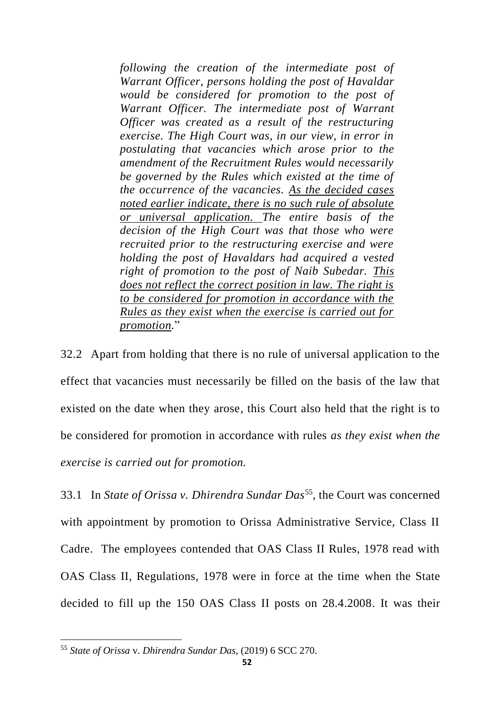*following the creation of the intermediate post of Warrant Officer, persons holding the post of Havaldar would be considered for promotion to the post of Warrant Officer. The intermediate post of Warrant Officer was created as a result of the restructuring exercise. The High Court was, in our view, in error in postulating that vacancies which arose prior to the amendment of the Recruitment Rules would necessarily be governed by the Rules which existed at the time of the occurrence of the vacancies. As the decided cases noted earlier indicate, there is no such rule of absolute or universal application. The entire basis of the decision of the High Court was that those who were recruited prior to the restructuring exercise and were holding the post of Havaldars had acquired a vested right of promotion to the post of Naib Subedar. This does not reflect the correct position in law. The right is to be considered for promotion in accordance with the Rules as they exist when the exercise is carried out for promotion.*"

32.2 Apart from holding that there is no rule of universal application to the effect that vacancies must necessarily be filled on the basis of the law that existed on the date when they arose, this Court also held that the right is to be considered for promotion in accordance with rules *as they exist when the exercise is carried out for promotion.*

33.1 In *State of Orissa v. Dhirendra Sundar Das*<sup>55</sup>, the Court was concerned with appointment by promotion to Orissa Administrative Service, Class II Cadre. The employees contended that OAS Class II Rules, 1978 read with OAS Class II, Regulations, 1978 were in force at the time when the State decided to fill up the 150 OAS Class II posts on 28.4.2008. It was their

<sup>55</sup> *State of Orissa* v. *Dhirendra Sundar Das*, (2019) 6 SCC 270.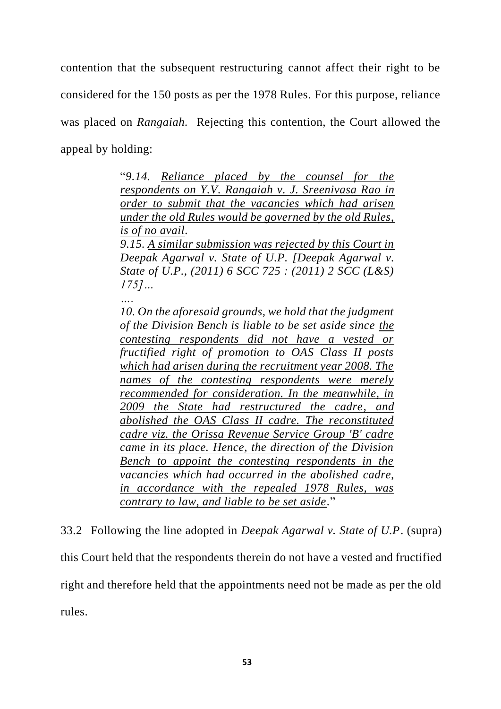contention that the subsequent restructuring cannot affect their right to be considered for the 150 posts as per the 1978 Rules. For this purpose, reliance was placed on *Rangaiah.* Rejecting this contention, the Court allowed the appeal by holding:

> "*9.14. Reliance placed by the counsel for the respondents on Y.V. Rangaiah v. J. Sreenivasa Rao in order to submit that the vacancies which had arisen under the old Rules would be governed by the old Rules, is of no avail. 9.15. A similar submission was rejected by this Court in Deepak Agarwal v. State of U.P. [Deepak Agarwal v. State of U.P., (2011) 6 SCC 725 : (2011) 2 SCC (L&S) 175]…*

*….*

*10. On the aforesaid grounds, we hold that the judgment of the Division Bench is liable to be set aside since the contesting respondents did not have a vested or fructified right of promotion to OAS Class II posts which had arisen during the recruitment year 2008. The names of the contesting respondents were merely recommended for consideration. In the meanwhile, in 2009 the State had restructured the cadre, and abolished the OAS Class II cadre. The reconstituted cadre viz. the Orissa Revenue Service Group 'B' cadre came in its place. Hence, the direction of the Division Bench to appoint the contesting respondents in the vacancies which had occurred in the abolished cadre, in accordance with the repealed 1978 Rules, was contrary to law, and liable to be set aside.*"

33.2 Following the line adopted in *Deepak Agarwal v. State of U.P*. (supra) this Court held that the respondents therein do not have a vested and fructified right and therefore held that the appointments need not be made as per the old rules.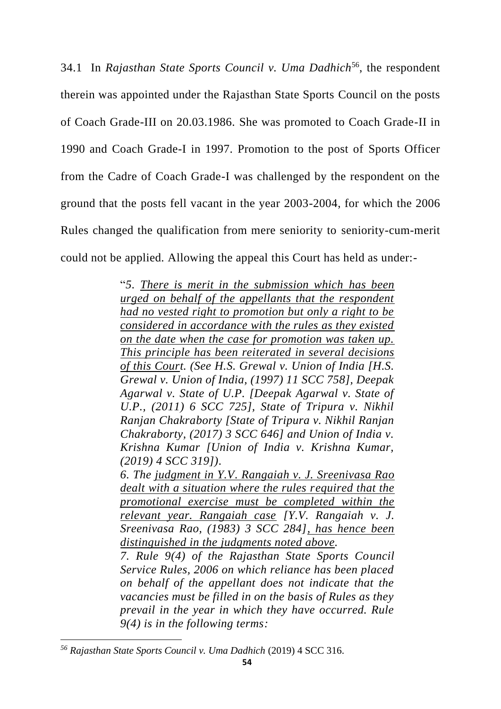34.1 In *Rajasthan State Sports Council v. Uma Dadhich*<sup>56</sup> , the respondent therein was appointed under the Rajasthan State Sports Council on the posts of Coach Grade-III on 20.03.1986. She was promoted to Coach Grade-II in 1990 and Coach Grade-I in 1997. Promotion to the post of Sports Officer from the Cadre of Coach Grade-I was challenged by the respondent on the ground that the posts fell vacant in the year 2003-2004, for which the 2006 Rules changed the qualification from mere seniority to seniority-cum-merit could not be applied. Allowing the appeal this Court has held as under:-

> "*5. There is merit in the submission which has been urged on behalf of the appellants that the respondent had no vested right to promotion but only a right to be considered in accordance with the rules as they existed on the date when the case for promotion was taken up. This principle has been reiterated in several decisions of this Court. (See H.S. Grewal v. Union of India [H.S. Grewal v. Union of India, (1997) 11 SCC 758], Deepak Agarwal v. State of U.P. [Deepak Agarwal v. State of U.P., (2011) 6 SCC 725], State of Tripura v. Nikhil Ranjan Chakraborty [State of Tripura v. Nikhil Ranjan Chakraborty, (2017) 3 SCC 646] and Union of India v. Krishna Kumar [Union of India v. Krishna Kumar, (2019) 4 SCC 319]).*

> *6. The judgment in Y.V. Rangaiah v. J. Sreenivasa Rao dealt with a situation where the rules required that the promotional exercise must be completed within the relevant year. Rangaiah case [Y.V. Rangaiah v. J. Sreenivasa Rao, (1983) 3 SCC 284], has hence been distinguished in the judgments noted above.*

> *7. Rule 9(4) of the Rajasthan State Sports Council Service Rules, 2006 on which reliance has been placed on behalf of the appellant does not indicate that the vacancies must be filled in on the basis of Rules as they prevail in the year in which they have occurred. Rule 9(4) is in the following terms:*

*<sup>56</sup> Rajasthan State Sports Council v. Uma Dadhich* (2019) 4 SCC 316.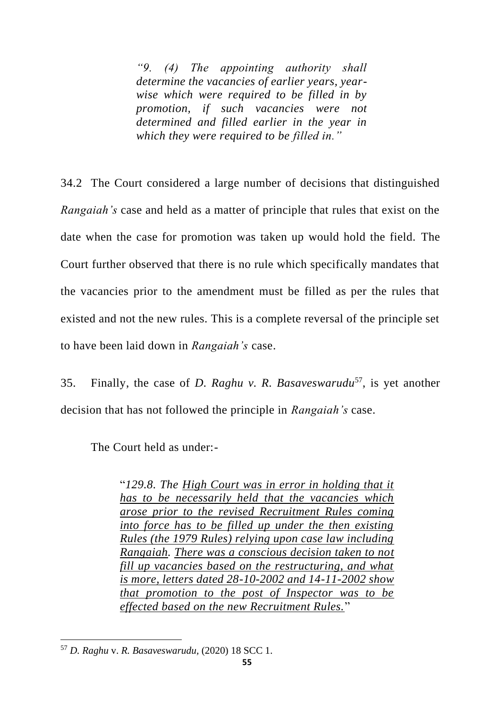*"9. (4) The appointing authority shall determine the vacancies of earlier years, yearwise which were required to be filled in by promotion, if such vacancies were not determined and filled earlier in the year in which they were required to be filled in."*

34.2 The Court considered a large number of decisions that distinguished *Rangaiah's* case and held as a matter of principle that rules that exist on the date when the case for promotion was taken up would hold the field. The Court further observed that there is no rule which specifically mandates that the vacancies prior to the amendment must be filled as per the rules that existed and not the new rules. This is a complete reversal of the principle set to have been laid down in *Rangaiah's* case.

35. Finally, the case of *D. Raghu v. R. Basaveswarudu*<sup>57</sup> , is yet another decision that has not followed the principle in *Rangaiah's* case.

The Court held as under:-

"*129.8. The High Court was in error in holding that it has to be necessarily held that the vacancies which arose prior to the revised Recruitment Rules coming into force has to be filled up under the then existing Rules (the 1979 Rules) relying upon case law including Rangaiah. There was a conscious decision taken to not fill up vacancies based on the restructuring, and what is more, letters dated 28-10-2002 and 14-11-2002 show that promotion to the post of Inspector was to be effected based on the new Recruitment Rules.*"

<sup>57</sup> *D. Raghu* v. *R. Basaveswarudu,* (2020) 18 SCC 1.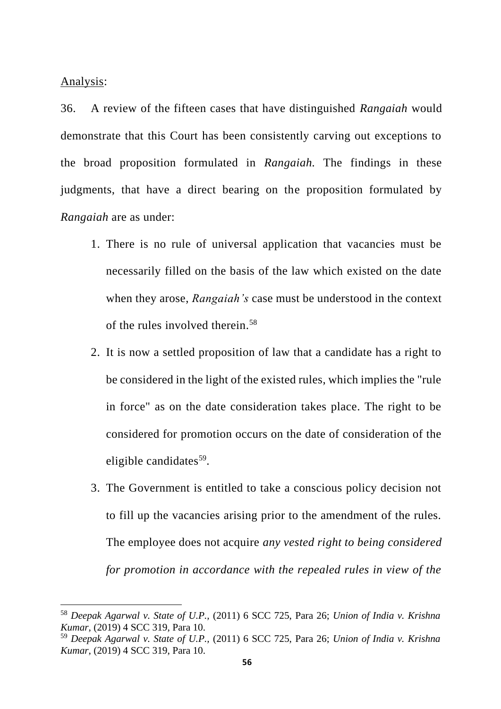Analysis:

36. A review of the fifteen cases that have distinguished *Rangaiah* would demonstrate that this Court has been consistently carving out exceptions to the broad proposition formulated in *Rangaiah.* The findings in these judgments, that have a direct bearing on the proposition formulated by *Rangaiah* are as under:

- 1. There is no rule of universal application that vacancies must be necessarily filled on the basis of the law which existed on the date when they arose, *Rangaiah's* case must be understood in the context of the rules involved therein.<sup>58</sup>
- 2. It is now a settled proposition of law that a candidate has a right to be considered in the light of the existed rules, which implies the "rule in force" as on the date consideration takes place. The right to be considered for promotion occurs on the date of consideration of the eligible candidates<sup>59</sup>.
- 3. The Government is entitled to take a conscious policy decision not to fill up the vacancies arising prior to the amendment of the rules. The employee does not acquire *any vested right to being considered for promotion in accordance with the repealed rules in view of the*

<sup>58</sup> *Deepak Agarwal v. State of U.P.,* (2011) 6 SCC 725, Para 26; *Union of India v. Krishna Kumar*, (2019) 4 SCC 319, Para 10.

<sup>59</sup> *Deepak Agarwal v. State of U.P.,* (2011) 6 SCC 725, Para 26; *Union of India v. Krishna Kumar*, (2019) 4 SCC 319, Para 10.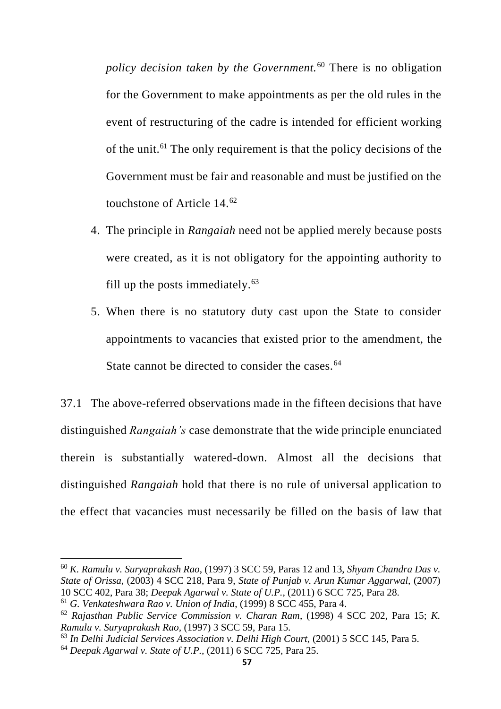*policy decision taken by the Government.*<sup>60</sup> There is no obligation for the Government to make appointments as per the old rules in the event of restructuring of the cadre is intended for efficient working of the unit.<sup>61</sup> The only requirement is that the policy decisions of the Government must be fair and reasonable and must be justified on the touchstone of Article 14.<sup>62</sup>

- 4. The principle in *Rangaiah* need not be applied merely because posts were created, as it is not obligatory for the appointing authority to fill up the posts immediately. $63$
- 5. When there is no statutory duty cast upon the State to consider appointments to vacancies that existed prior to the amendment, the State cannot be directed to consider the cases.<sup>64</sup>

37.1 The above-referred observations made in the fifteen decisions that have distinguished *Rangaiah's* case demonstrate that the wide principle enunciated therein is substantially watered-down. Almost all the decisions that distinguished *Rangaiah* hold that there is no rule of universal application to the effect that vacancies must necessarily be filled on the basis of law that

<sup>60</sup> *K. Ramulu v. Suryaprakash Rao*, (1997) 3 SCC 59, Paras 12 and 13, *Shyam Chandra Das v. State of Orissa*, (2003) 4 SCC 218, Para 9, *State of Punjab v. Arun Kumar Aggarwal,* (2007) 10 SCC 402, Para 38; *Deepak Agarwal v. State of U.P.*, (2011) 6 SCC 725, Para 28.

<sup>61</sup> *G. Venkateshwara Rao v. Union of India*, (1999) 8 SCC 455, Para 4.

<sup>62</sup> *Rajasthan Public Service Commission v. Charan Ram*, (1998) 4 SCC 202, Para 15; *K. Ramulu v. Suryaprakash Rao,* (1997) 3 SCC 59, Para 15.

<sup>63</sup> *In Delhi Judicial Services Association v. Delhi High Court,* (2001) 5 SCC 145, Para 5.

<sup>64</sup> *Deepak Agarwal v. State of U.P.,* (2011) 6 SCC 725, Para 25.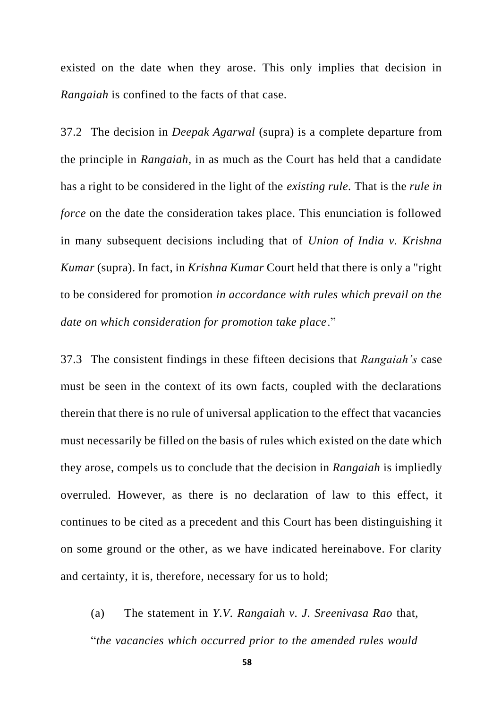existed on the date when they arose. This only implies that decision in *Rangaiah* is confined to the facts of that case.

37.2 The decision in *Deepak Agarwal* (supra) is a complete departure from the principle in *Rangaiah,* in as much as the Court has held that a candidate has a right to be considered in the light of the *existing rule.* That is the *rule in force* on the date the consideration takes place. This enunciation is followed in many subsequent decisions including that of *Union of India v. Krishna Kumar* (supra). In fact, in *Krishna Kumar* Court held that there is only a "right to be considered for promotion *in accordance with rules which prevail on the date on which consideration for promotion take place*."

37.3 The consistent findings in these fifteen decisions that *Rangaiah's* case must be seen in the context of its own facts, coupled with the declarations therein that there is no rule of universal application to the effect that vacancies must necessarily be filled on the basis of rules which existed on the date which they arose, compels us to conclude that the decision in *Rangaiah* is impliedly overruled. However, as there is no declaration of law to this effect, it continues to be cited as a precedent and this Court has been distinguishing it on some ground or the other, as we have indicated hereinabove. For clarity and certainty, it is, therefore, necessary for us to hold;

(a) The statement in *Y.V. Rangaiah v. J. Sreenivasa Rao* that, "*the vacancies which occurred prior to the amended rules would*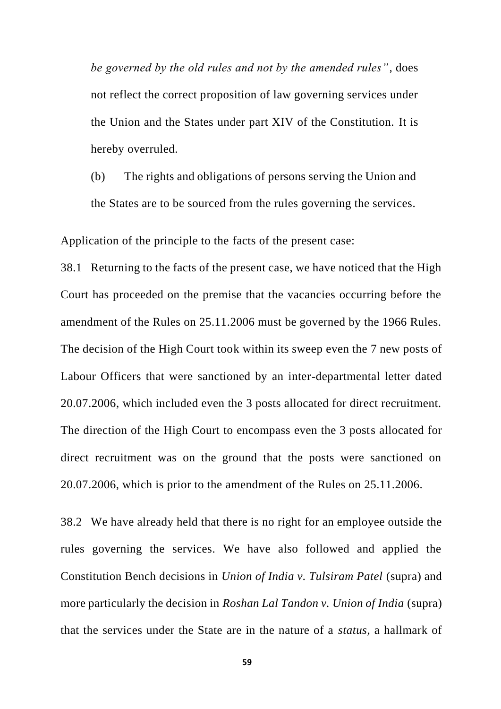*be governed by the old rules and not by the amended rules"*, does not reflect the correct proposition of law governing services under the Union and the States under part XIV of the Constitution. It is hereby overruled.

(b) The rights and obligations of persons serving the Union and the States are to be sourced from the rules governing the services.

#### Application of the principle to the facts of the present case:

38.1 Returning to the facts of the present case, we have noticed that the High Court has proceeded on the premise that the vacancies occurring before the amendment of the Rules on 25.11.2006 must be governed by the 1966 Rules. The decision of the High Court took within its sweep even the 7 new posts of Labour Officers that were sanctioned by an inter-departmental letter dated 20.07.2006, which included even the 3 posts allocated for direct recruitment. The direction of the High Court to encompass even the 3 posts allocated for direct recruitment was on the ground that the posts were sanctioned on 20.07.2006, which is prior to the amendment of the Rules on 25.11.2006.

38.2 We have already held that there is no right for an employee outside the rules governing the services. We have also followed and applied the Constitution Bench decisions in *Union of India v. Tulsiram Patel* (supra) and more particularly the decision in *Roshan Lal Tandon v. Union of India* (supra) that the services under the State are in the nature of a *status*, a hallmark of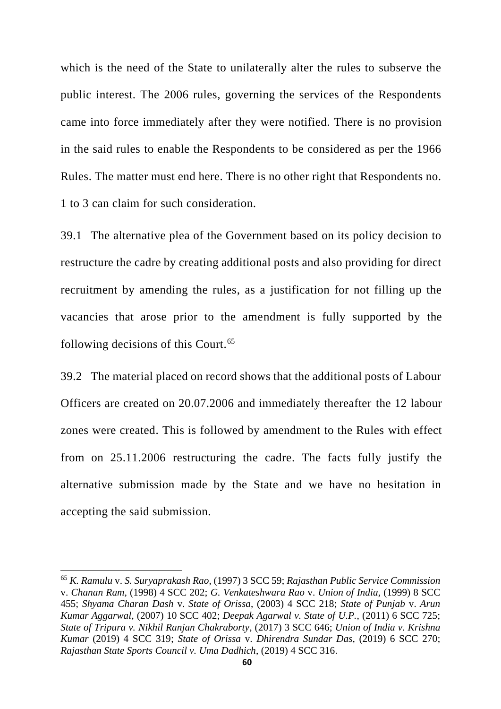which is the need of the State to unilaterally alter the rules to subserve the public interest. The 2006 rules, governing the services of the Respondents came into force immediately after they were notified. There is no provision in the said rules to enable the Respondents to be considered as per the 1966 Rules. The matter must end here. There is no other right that Respondents no. 1 to 3 can claim for such consideration.

39.1 The alternative plea of the Government based on its policy decision to restructure the cadre by creating additional posts and also providing for direct recruitment by amending the rules, as a justification for not filling up the vacancies that arose prior to the amendment is fully supported by the following decisions of this Court.<sup>65</sup>

39.2 The material placed on record shows that the additional posts of Labour Officers are created on 20.07.2006 and immediately thereafter the 12 labour zones were created. This is followed by amendment to the Rules with effect from on 25.11.2006 restructuring the cadre. The facts fully justify the alternative submission made by the State and we have no hesitation in accepting the said submission.

<sup>65</sup> *K. Ramulu* v. *S. Suryaprakash Rao*, (1997) 3 SCC 59; *Rajasthan Public Service Commission*  v. *Chanan Ram*, (1998) 4 SCC 202; *G. Venkateshwara Rao* v. *Union of India*, (1999) 8 SCC 455; *Shyama Charan Dash* v. *State of Orissa*, (2003) 4 SCC 218; *State of Punjab* v. *Arun Kumar Aggarwal*, (2007) 10 SCC 402; *Deepak Agarwal v. State of U.P.*, (2011) 6 SCC 725; *State of Tripura v. Nikhil Ranjan Chakraborty*, (2017) 3 SCC 646; *Union of India v. Krishna Kumar* (2019) 4 SCC 319; *State of Orissa* v. *Dhirendra Sundar Das*, (2019) 6 SCC 270; *Rajasthan State Sports Council v. Uma Dadhich*, (2019) 4 SCC 316.